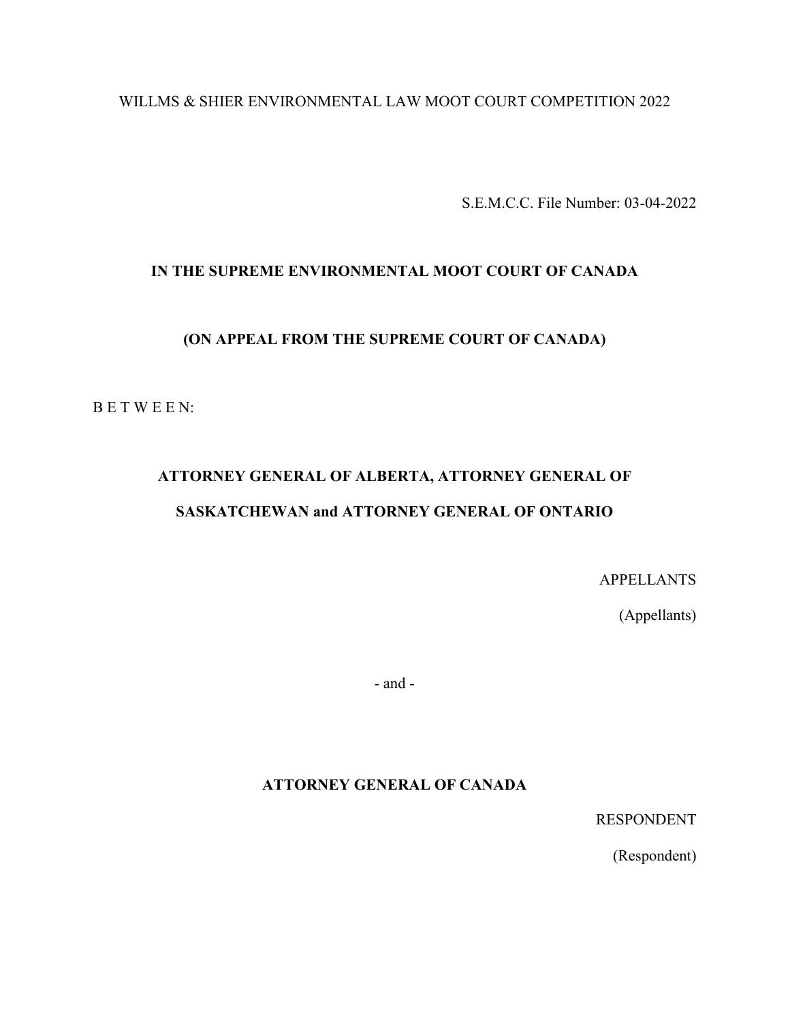# WILLMS & SHIER ENVIRONMENTAL LAW MOOT COURT COMPETITION 2022

S.E.M.C.C. File Number: 03-04-2022

# **IN THE SUPREME ENVIRONMENTAL MOOT COURT OF CANADA**

# **(ON APPEAL FROM THE SUPREME COURT OF CANADA)**

B E T W E E N:

# **ATTORNEY GENERAL OF ALBERTA, ATTORNEY GENERAL OF SASKATCHEWAN and ATTORNEY GENERAL OF ONTARIO**

APPELLANTS

(Appellants)

- and -

**ATTORNEY GENERAL OF CANADA**

RESPONDENT

(Respondent)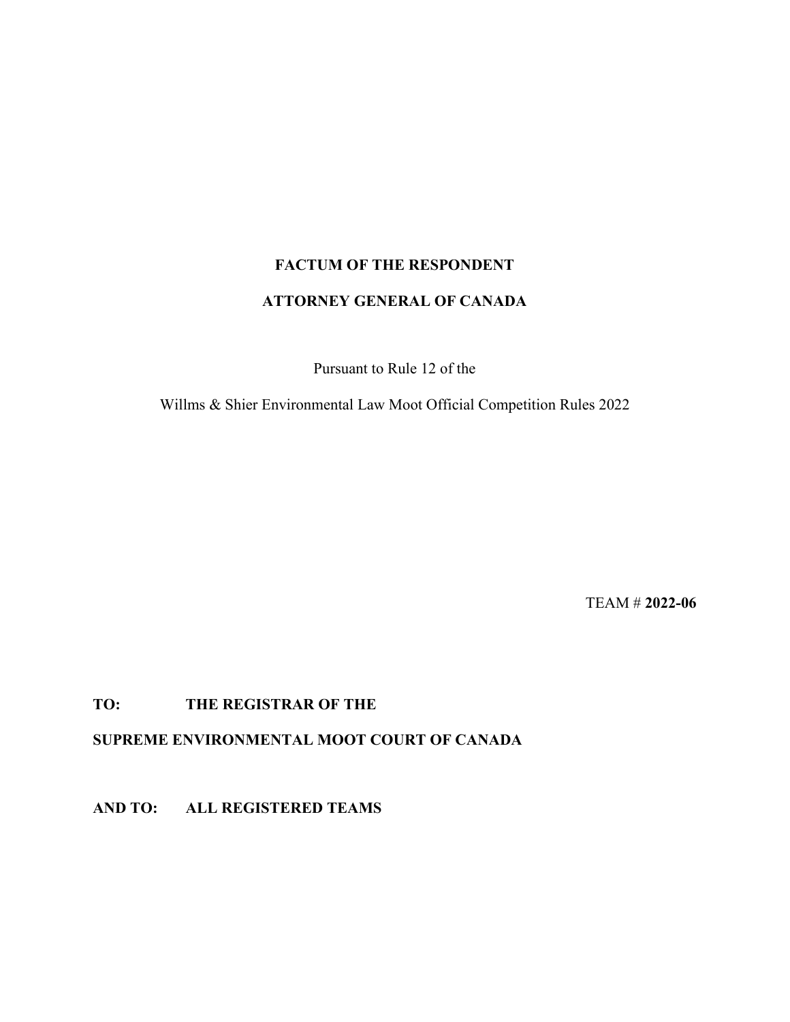# **FACTUM OF THE RESPONDENT ATTORNEY GENERAL OF CANADA**

Pursuant to Rule 12 of the

Willms & Shier Environmental Law Moot Official Competition Rules 2022

TEAM # **2022-06**

# **TO: THE REGISTRAR OF THE**

**SUPREME ENVIRONMENTAL MOOT COURT OF CANADA**

**AND TO: ALL REGISTERED TEAMS**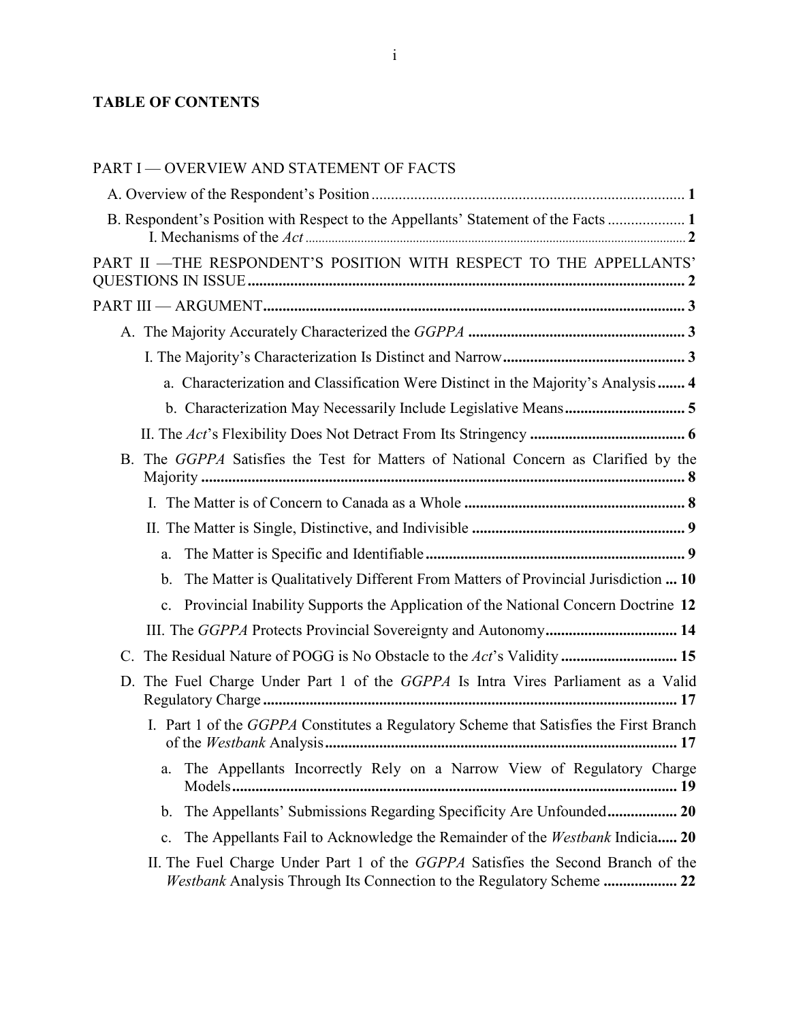# **TABLE OF CONTENTS**

# [PART I — OVERVIEW AND STATEMENT OF FACTS](#page-3-0)

| B. Respondent's Position with Respect to the Appellants' Statement of the Facts  1      |
|-----------------------------------------------------------------------------------------|
| PART II -THE RESPONDENT'S POSITION WITH RESPECT TO THE APPELLANTS'                      |
|                                                                                         |
|                                                                                         |
|                                                                                         |
| a. Characterization and Classification Were Distinct in the Majority's Analysis 4       |
| b. Characterization May Necessarily Include Legislative Means 5                         |
|                                                                                         |
| B. The GGPPA Satisfies the Test for Matters of National Concern as Clarified by the     |
|                                                                                         |
|                                                                                         |
| a.                                                                                      |
| The Matter is Qualitatively Different From Matters of Provincial Jurisdiction  10<br>b. |
| c. Provincial Inability Supports the Application of the National Concern Doctrine 12    |
| III. The GGPPA Protects Provincial Sovereignty and Autonomy 14                          |
| C. The Residual Nature of POGG is No Obstacle to the Act's Validity  15                 |
| D. The Fuel Charge Under Part 1 of the GGPPA Is Intra Vires Parliament as a Valid       |
| I. Part 1 of the GGPPA Constitutes a Regulatory Scheme that Satisfies the First Branch  |
| The Appellants Incorrectly Rely on a Narrow View of Regulatory Charge<br>а.             |
| b. The Appellants' Submissions Regarding Specificity Are Unfounded 20                   |
| The Appellants Fail to Acknowledge the Remainder of the Westbank Indicia 20<br>c.       |
| II. The Fuel Charge Under Part 1 of the <i>GGPPA</i> Satisfies the Second Branch of the |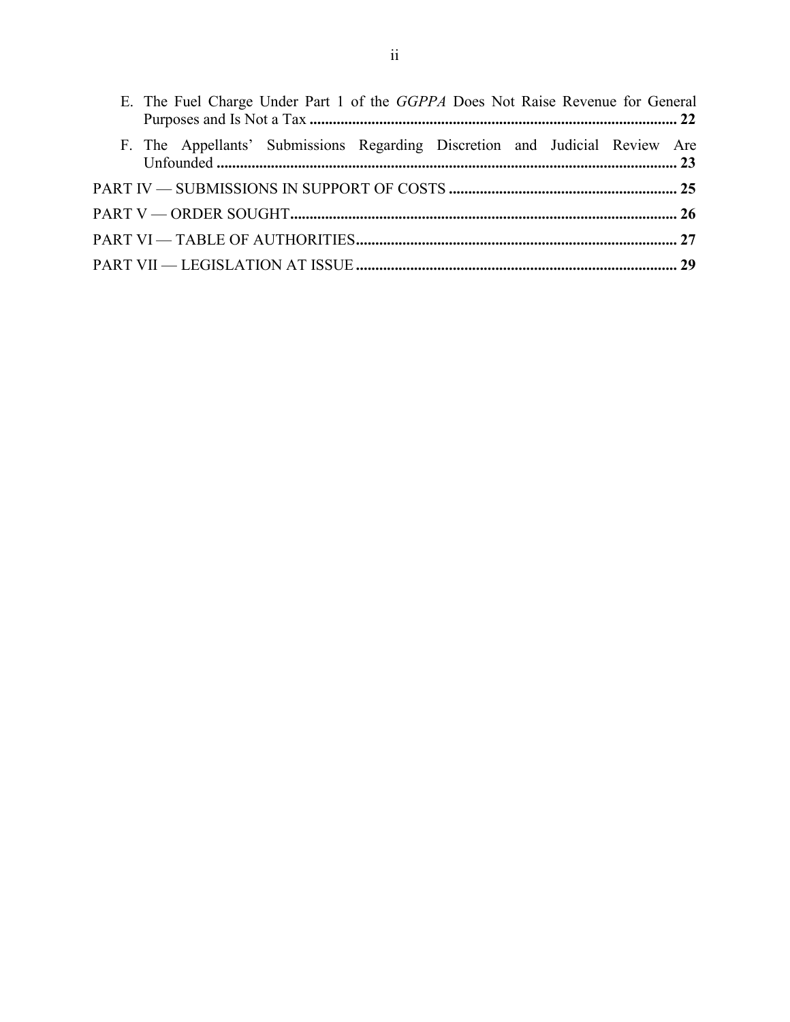<span id="page-3-0"></span>

| E. The Fuel Charge Under Part 1 of the GGPPA Does Not Raise Revenue for General |  |
|---------------------------------------------------------------------------------|--|
| F. The Appellants' Submissions Regarding Discretion and Judicial Review Are     |  |
|                                                                                 |  |
|                                                                                 |  |
|                                                                                 |  |
|                                                                                 |  |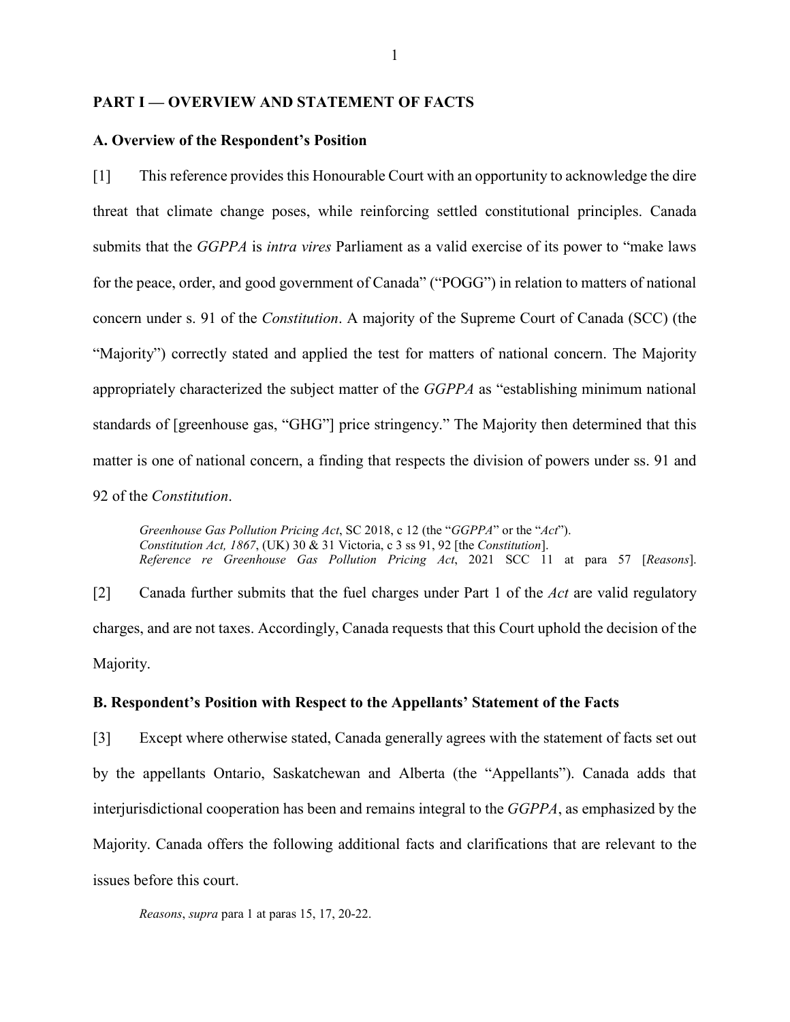#### **PART I — OVERVIEW AND STATEMENT OF FACTS**

#### <span id="page-4-0"></span>**A. Overview of the Respondent's Position**

[1] This reference provides this Honourable Court with an opportunity to acknowledge the dire threat that climate change poses, while reinforcing settled constitutional principles. Canada submits that the *GGPPA* is *intra vires* Parliament as a valid exercise of its power to "make laws for the peace, order, and good government of Canada" ("POGG") in relation to matters of national concern under s. 91 of the *Constitution*. A majority of the Supreme Court of Canada (SCC) (the "Majority") correctly stated and applied the test for matters of national concern. The Majority appropriately characterized the subject matter of the *GGPPA* as "establishing minimum national standards of [greenhouse gas, "GHG"] price stringency." The Majority then determined that this matter is one of national concern, a finding that respects the division of powers under ss. 91 and 92 of the *Constitution*.

*Greenhouse Gas Pollution Pricing Act*, SC 2018, c 12 (the "*GGPPA*" or the "*Act*"). *Constitution Act, 1867*, (UK) 30 & 31 Victoria, c 3 ss 91, 92 [the *Constitution*]. *Reference re Greenhouse Gas Pollution Pricing Act*, 2021 SCC 11 at para 57 [*Reasons*].

[2] Canada further submits that the fuel charges under Part 1 of the *Act* are valid regulatory charges, and are not taxes. Accordingly, Canada requests that this Court uphold the decision of the Majority.

## <span id="page-4-1"></span>**B. Respondent's Position with Respect to the Appellants' Statement of the Facts**

[3] Except where otherwise stated, Canada generally agrees with the statement of facts set out by the appellants Ontario, Saskatchewan and Alberta (the "Appellants"). Canada adds that interjurisdictional cooperation has been and remains integral to the *GGPPA*, as emphasized by the Majority. Canada offers the following additional facts and clarifications that are relevant to the issues before this court.

*Reasons*, *supra* para 1 at paras 15, 17, 20-22.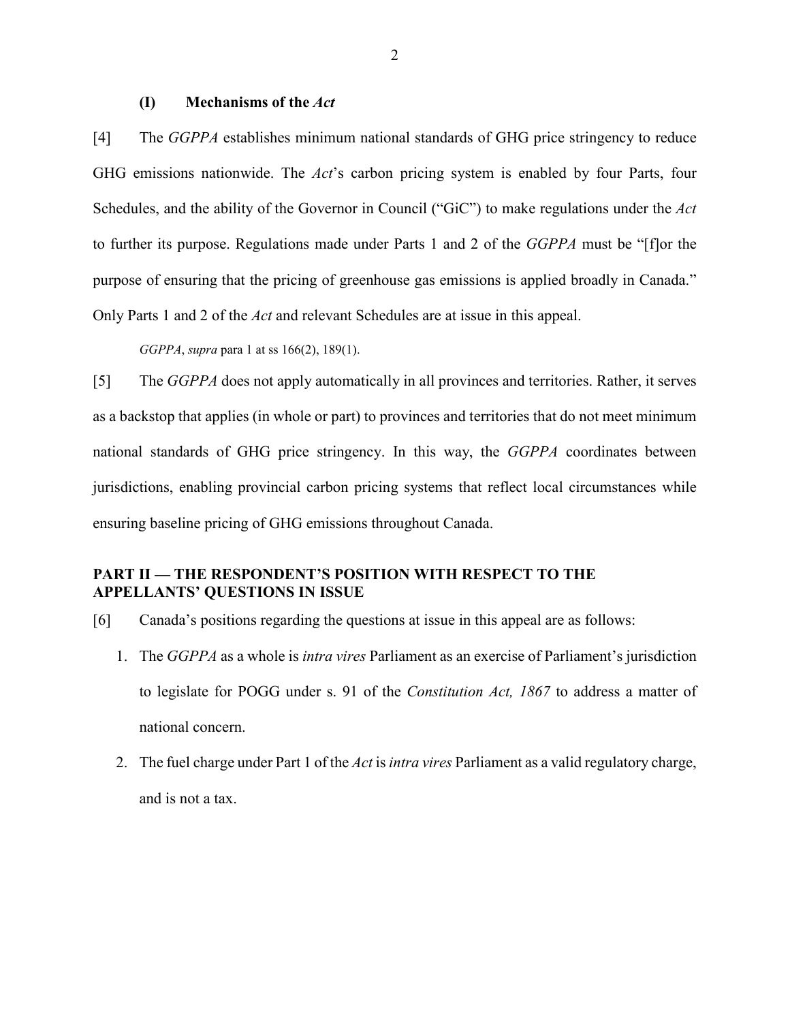#### **(I) Mechanisms of the** *Act*

<span id="page-5-0"></span>[4] The *GGPPA* establishes minimum national standards of GHG price stringency to reduce GHG emissions nationwide. The *Act*'s carbon pricing system is enabled by four Parts, four Schedules, and the ability of the Governor in Council ("GiC") to make regulations under the *Act* to further its purpose. Regulations made under Parts 1 and 2 of the *GGPPA* must be "[f]or the purpose of ensuring that the pricing of greenhouse gas emissions is applied broadly in Canada." Only Parts 1 and 2 of the *Act* and relevant Schedules are at issue in this appeal.

*GGPPA*, *supra* para 1 at ss 166(2), 189(1).

[5] The *GGPPA* does not apply automatically in all provinces and territories. Rather, it serves as a backstop that applies (in whole or part) to provinces and territories that do not meet minimum national standards of GHG price stringency. In this way, the *GGPPA* coordinates between jurisdictions, enabling provincial carbon pricing systems that reflect local circumstances while ensuring baseline pricing of GHG emissions throughout Canada.

# <span id="page-5-1"></span>**PART II — THE RESPONDENT'S POSITION WITH RESPECT TO THE APPELLANTS' QUESTIONS IN ISSUE**

- [6] Canada's positions regarding the questions at issue in this appeal are as follows:
	- 1. The *GGPPA* as a whole is *intra vires* Parliament as an exercise of Parliament's jurisdiction to legislate for POGG under s. 91 of the *Constitution Act, 1867* to address a matter of national concern.
	- 2. The fuel charge under Part 1 of the *Act* is *intra vires* Parliament as a valid regulatory charge, and is not a tax.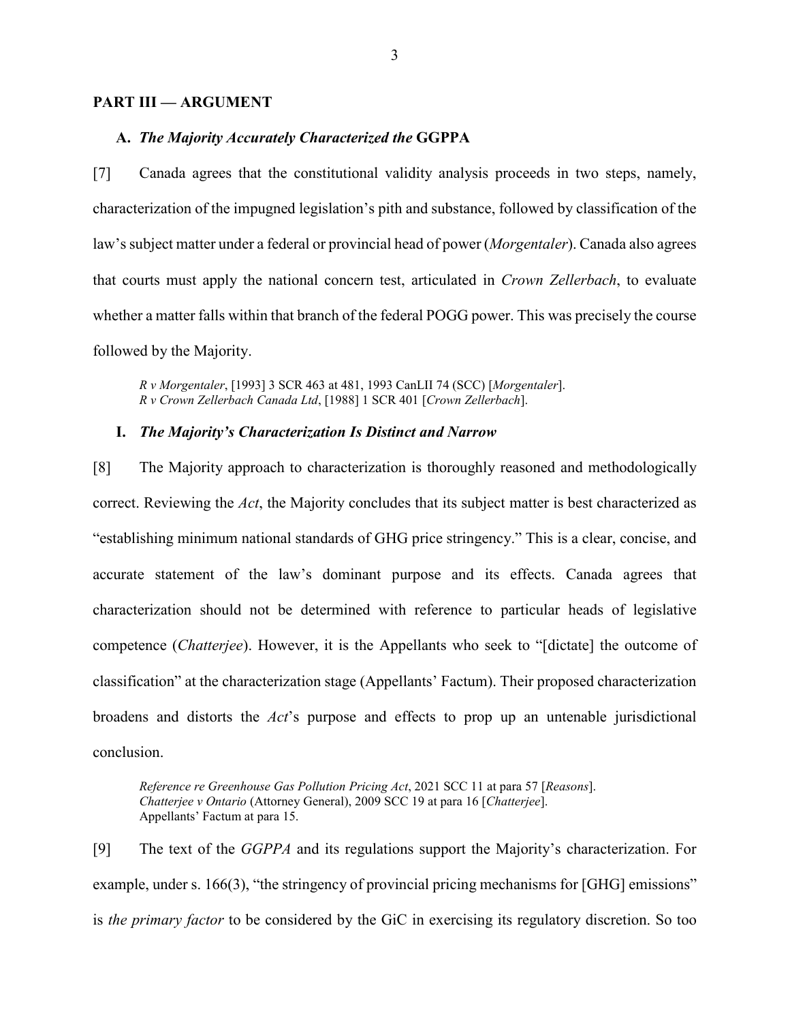#### <span id="page-6-0"></span>**PART III — ARGUMENT**

#### <span id="page-6-1"></span>**A.** *The Majority Accurately Characterized the* **GGPPA**

[7] Canada agrees that the constitutional validity analysis proceeds in two steps, namely, characterization of the impugned legislation's pith and substance, followed by classification of the law's subject matter under a federal or provincial head of power (*Morgentaler*). Canada also agrees that courts must apply the national concern test, articulated in *Crown Zellerbach*, to evaluate whether a matter falls within that branch of the federal POGG power. This was precisely the course followed by the Majority.

*R v Morgentaler*, [1993] 3 SCR 463 at 481, 1993 CanLII 74 (SCC) [*Morgentaler*]. *R v Crown Zellerbach Canada Ltd*, [1988] 1 SCR 401 [*Crown Zellerbach*].

#### <span id="page-6-2"></span>**I.** *The Majority's Characterization Is Distinct and Narrow*

[8] The Majority approach to characterization is thoroughly reasoned and methodologically correct. Reviewing the *Act*, the Majority concludes that its subject matter is best characterized as "establishing minimum national standards of GHG price stringency." This is a clear, concise, and accurate statement of the law's dominant purpose and its effects. Canada agrees that characterization should not be determined with reference to particular heads of legislative competence (*Chatterjee*). However, it is the Appellants who seek to "[dictate] the outcome of classification" at the characterization stage (Appellants' Factum). Their proposed characterization broadens and distorts the *Act*'s purpose and effects to prop up an untenable jurisdictional conclusion.

*Reference re Greenhouse Gas Pollution Pricing Act*, 2021 SCC 11 at para 57 [*Reasons*]. *Chatterjee v Ontario* (Attorney General), 2009 SCC 19 at para 16 [*Chatterjee*]. Appellants' Factum at para 15.

[9] The text of the *GGPPA* and its regulations support the Majority's characterization. For example, under s. 166(3), "the stringency of provincial pricing mechanisms for [GHG] emissions" is *the primary factor* to be considered by the GiC in exercising its regulatory discretion. So too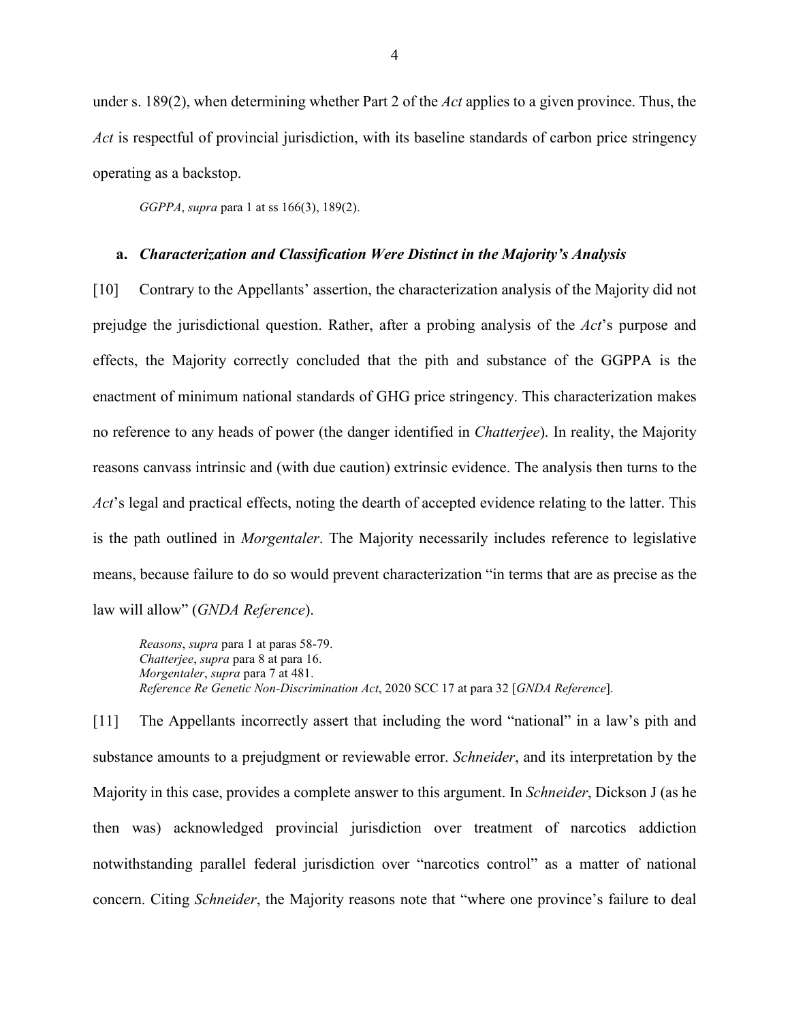under s. 189(2), when determining whether Part 2 of the *Act* applies to a given province. Thus, the *Act* is respectful of provincial jurisdiction, with its baseline standards of carbon price stringency operating as a backstop.

*GGPPA*, *supra* para 1 at ss 166(3), 189(2).

#### <span id="page-7-0"></span>**a.** *Characterization and Classification Were Distinct in the Majority's Analysis*

[10] Contrary to the Appellants' assertion, the characterization analysis of the Majority did not prejudge the jurisdictional question. Rather, after a probing analysis of the *Act*'s purpose and effects, the Majority correctly concluded that the pith and substance of the GGPPA is the enactment of minimum national standards of GHG price stringency. This characterization makes no reference to any heads of power (the danger identified in *Chatterjee*). In reality, the Majority reasons canvass intrinsic and (with due caution) extrinsic evidence. The analysis then turns to the *Act*'s legal and practical effects, noting the dearth of accepted evidence relating to the latter. This is the path outlined in *Morgentaler*. The Majority necessarily includes reference to legislative means, because failure to do so would prevent characterization "in terms that are as precise as the law will allow" (*GNDA Reference*).

*Reasons*, *supra* para 1 at paras 58-79. *Chatterjee*, *supra* para 8 at para 16. *Morgentaler*, *supra* para 7 at 481. *Reference Re Genetic Non-Discrimination Act*, 2020 SCC 17 at para 32 [*GNDA Reference*].

[11] The Appellants incorrectly assert that including the word "national" in a law's pith and substance amounts to a prejudgment or reviewable error. *Schneider*, and its interpretation by the Majority in this case, provides a complete answer to this argument. In *Schneider*, Dickson J (as he then was) acknowledged provincial jurisdiction over treatment of narcotics addiction notwithstanding parallel federal jurisdiction over "narcotics control" as a matter of national concern. Citing *Schneider*, the Majority reasons note that "where one province's failure to deal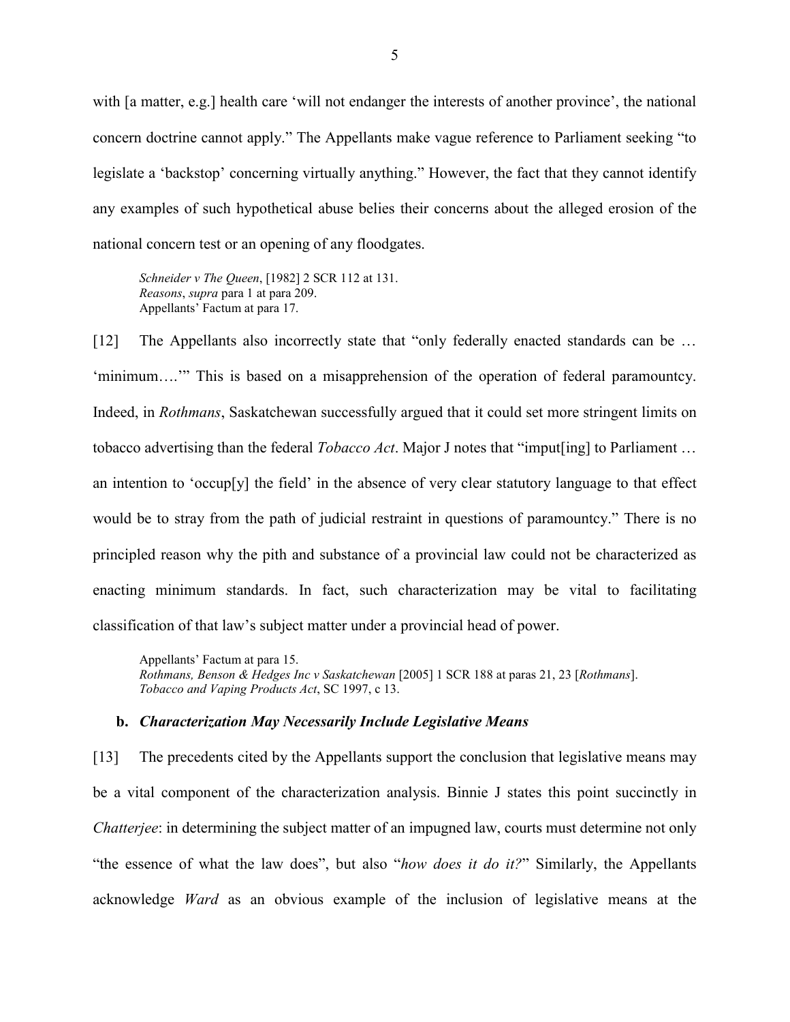with [a matter, e.g.] health care 'will not endanger the interests of another province', the national concern doctrine cannot apply." The Appellants make vague reference to Parliament seeking "to legislate a 'backstop' concerning virtually anything." However, the fact that they cannot identify any examples of such hypothetical abuse belies their concerns about the alleged erosion of the national concern test or an opening of any floodgates.

*Schneider v The Queen*, [1982] 2 SCR 112 at 131. *Reasons*, *supra* para 1 at para 209. Appellants' Factum at para 17.

[12] The Appellants also incorrectly state that "only federally enacted standards can be ... 'minimum….'" This is based on a misapprehension of the operation of federal paramountcy. Indeed, in *Rothmans*, Saskatchewan successfully argued that it could set more stringent limits on tobacco advertising than the federal *Tobacco Act*. Major J notes that "imput[ing] to Parliament … an intention to 'occup[y] the field' in the absence of very clear statutory language to that effect would be to stray from the path of judicial restraint in questions of paramountcy." There is no principled reason why the pith and substance of a provincial law could not be characterized as enacting minimum standards. In fact, such characterization may be vital to facilitating classification of that law's subject matter under a provincial head of power.

Appellants' Factum at para 15. *Rothmans, Benson & Hedges Inc v Saskatchewan* [2005] 1 SCR 188 at paras 21, 23 [*Rothmans*]. *Tobacco and Vaping Products Act*, SC 1997, c 13.

#### <span id="page-8-0"></span>**b.** *Characterization May Necessarily Include Legislative Means*

[13] The precedents cited by the Appellants support the conclusion that legislative means may be a vital component of the characterization analysis. Binnie J states this point succinctly in *Chatterjee*: in determining the subject matter of an impugned law, courts must determine not only "the essence of what the law does", but also "*how does it do it?*" Similarly, the Appellants acknowledge *Ward* as an obvious example of the inclusion of legislative means at the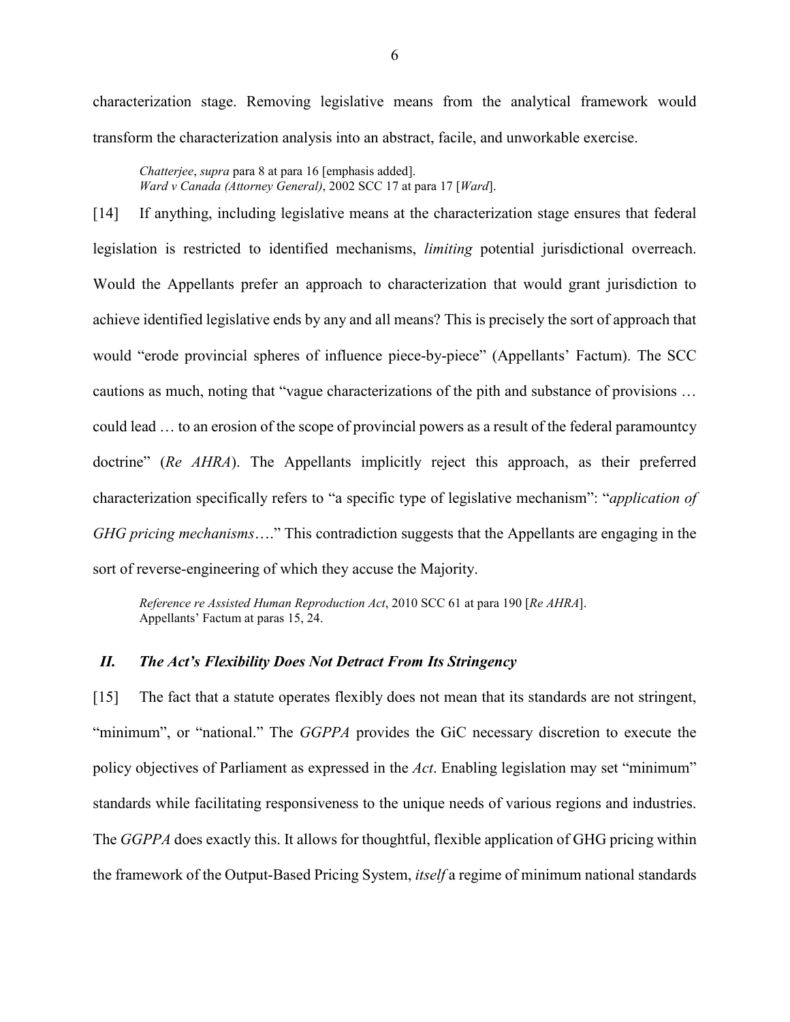characterization stage. Removing legislative means from the analytical framework would transform the characterization analysis into an abstract, facile, and unworkable exercise.

*Chatterjee*, *supra* para 8 at para 16 [emphasis added]. *Ward v Canada (Attorney General)*, 2002 SCC 17 at para 17 [*Ward*].

[14] If anything, including legislative means at the characterization stage ensures that federal legislation is restricted to identified mechanisms, *limiting* potential jurisdictional overreach. Would the Appellants prefer an approach to characterization that would grant jurisdiction to achieve identified legislative ends by any and all means? This is precisely the sort of approach that would "erode provincial spheres of influence piece-by-piece" (Appellants' Factum). The SCC cautions as much, noting that "vague characterizations of the pith and substance of provisions … could lead … to an erosion of the scope of provincial powers as a result of the federal paramountcy doctrine" (*Re AHRA*). The Appellants implicitly reject this approach, as their preferred characterization specifically refers to "a specific type of legislative mechanism": "*application of GHG pricing mechanisms*…." This contradiction suggests that the Appellants are engaging in the sort of reverse-engineering of which they accuse the Majority.

*Reference re Assisted Human Reproduction Act*, 2010 SCC 61 at para 190 [*Re AHRA*]. Appellants' Factum at paras 15, 24.

# <span id="page-9-0"></span>*II. The Act's Flexibility Does Not Detract From Its Stringency*

[15] The fact that a statute operates flexibly does not mean that its standards are not stringent, "minimum", or "national." The *GGPPA* provides the GiC necessary discretion to execute the policy objectives of Parliament as expressed in the *Act*. Enabling legislation may set "minimum" standards while facilitating responsiveness to the unique needs of various regions and industries. The *GGPPA* does exactly this. It allows for thoughtful, flexible application of GHG pricing within the framework of the Output-Based Pricing System, *itself* a regime of minimum national standards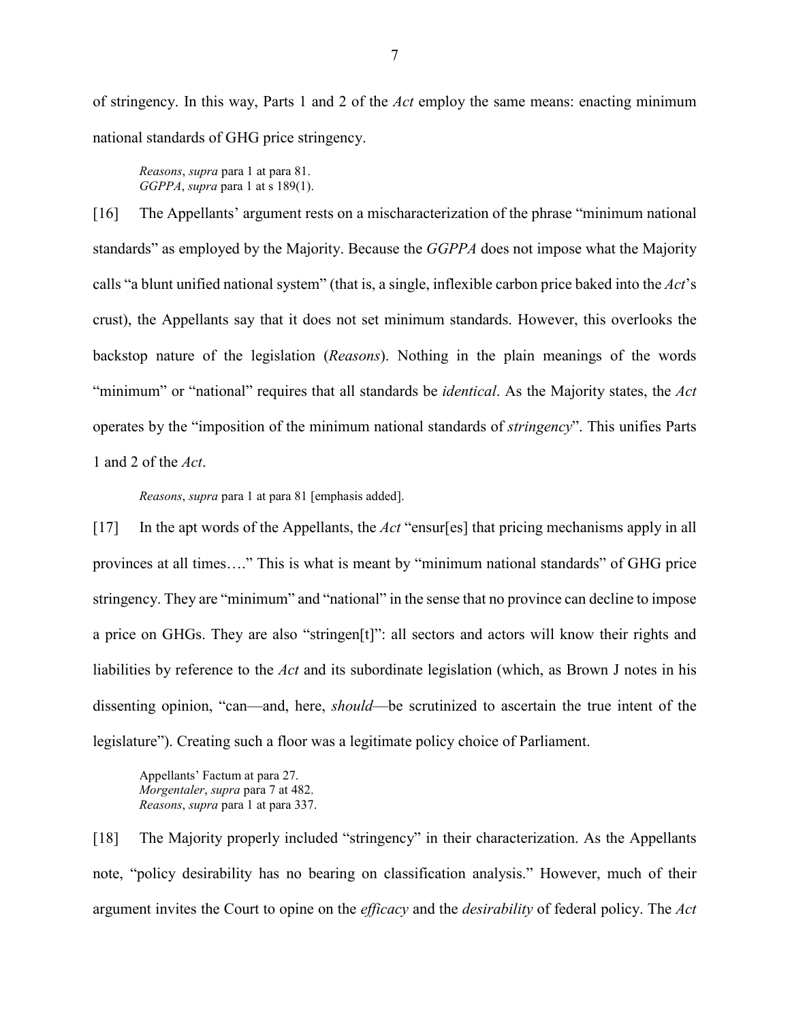of stringency. In this way, Parts 1 and 2 of the *Act* employ the same means: enacting minimum national standards of GHG price stringency.

*Reasons*, *supra* para 1 at para 81. *GGPPA*, *supra* para 1 at s 189(1).

[16] The Appellants' argument rests on a mischaracterization of the phrase "minimum national standards" as employed by the Majority. Because the *GGPPA* does not impose what the Majority calls "a blunt unified national system" (that is, a single, inflexible carbon price baked into the *Act*'s crust), the Appellants say that it does not set minimum standards. However, this overlooks the backstop nature of the legislation (*Reasons*). Nothing in the plain meanings of the words "minimum" or "national" requires that all standards be *identical*. As the Majority states, the *Act* operates by the "imposition of the minimum national standards of *stringency*". This unifies Parts 1 and 2 of the *Act*.

*Reasons*, *supra* para 1 at para 81 [emphasis added].

[17] In the apt words of the Appellants, the *Act* "ensur[es] that pricing mechanisms apply in all provinces at all times…." This is what is meant by "minimum national standards" of GHG price stringency. They are "minimum" and "national" in the sense that no province can decline to impose a price on GHGs. They are also "stringen[t]": all sectors and actors will know their rights and liabilities by reference to the *Act* and its subordinate legislation (which, as Brown J notes in his dissenting opinion, "can—and, here, *should*—be scrutinized to ascertain the true intent of the legislature"). Creating such a floor was a legitimate policy choice of Parliament.

Appellants' Factum at para 27. *Morgentaler*, *supra* para 7 at 482. *Reasons*, *supra* para 1 at para 337.

[18] The Majority properly included "stringency" in their characterization. As the Appellants note, "policy desirability has no bearing on classification analysis." However, much of their argument invites the Court to opine on the *efficacy* and the *desirability* of federal policy. The *Act*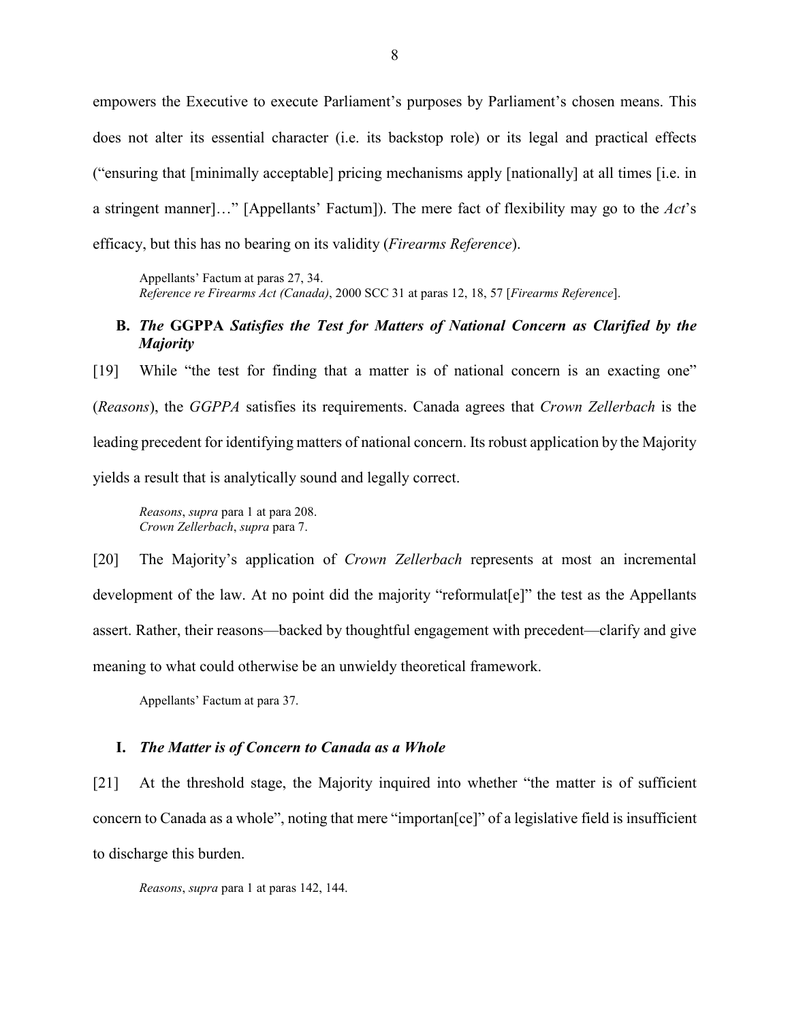empowers the Executive to execute Parliament's purposes by Parliament's chosen means. This does not alter its essential character (i.e. its backstop role) or its legal and practical effects ("ensuring that [minimally acceptable] pricing mechanisms apply [nationally] at all times [i.e. in a stringent manner]…" [Appellants' Factum]). The mere fact of flexibility may go to the *Act*'s efficacy, but this has no bearing on its validity (*Firearms Reference*).

Appellants' Factum at paras 27, 34. *Reference re Firearms Act (Canada)*, 2000 SCC 31 at paras 12, 18, 57 [*Firearms Reference*].

# <span id="page-11-0"></span>**B.** *The* **GGPPA** *Satisfies the Test for Matters of National Concern as Clarified by the Majority*

[19] While "the test for finding that a matter is of national concern is an exacting one" (*Reasons*), the *GGPPA* satisfies its requirements. Canada agrees that *Crown Zellerbach* is the leading precedent for identifying matters of national concern. Its robust application by the Majority yields a result that is analytically sound and legally correct.

*Reasons*, *supra* para 1 at para 208. *Crown Zellerbach*, *supra* para 7.

[20] The Majority's application of *Crown Zellerbach* represents at most an incremental development of the law. At no point did the majority "reformulat<sup>[e]"</sup> the test as the Appellants assert. Rather, their reasons—backed by thoughtful engagement with precedent—clarify and give meaning to what could otherwise be an unwieldy theoretical framework.

Appellants' Factum at para 37.

#### <span id="page-11-1"></span>**I.** *The Matter is of Concern to Canada as a Whole*

[21] At the threshold stage, the Majority inquired into whether "the matter is of sufficient concern to Canada as a whole", noting that mere "importan[ce]" of a legislative field is insufficient to discharge this burden.

*Reasons*, *supra* para 1 at paras 142, 144.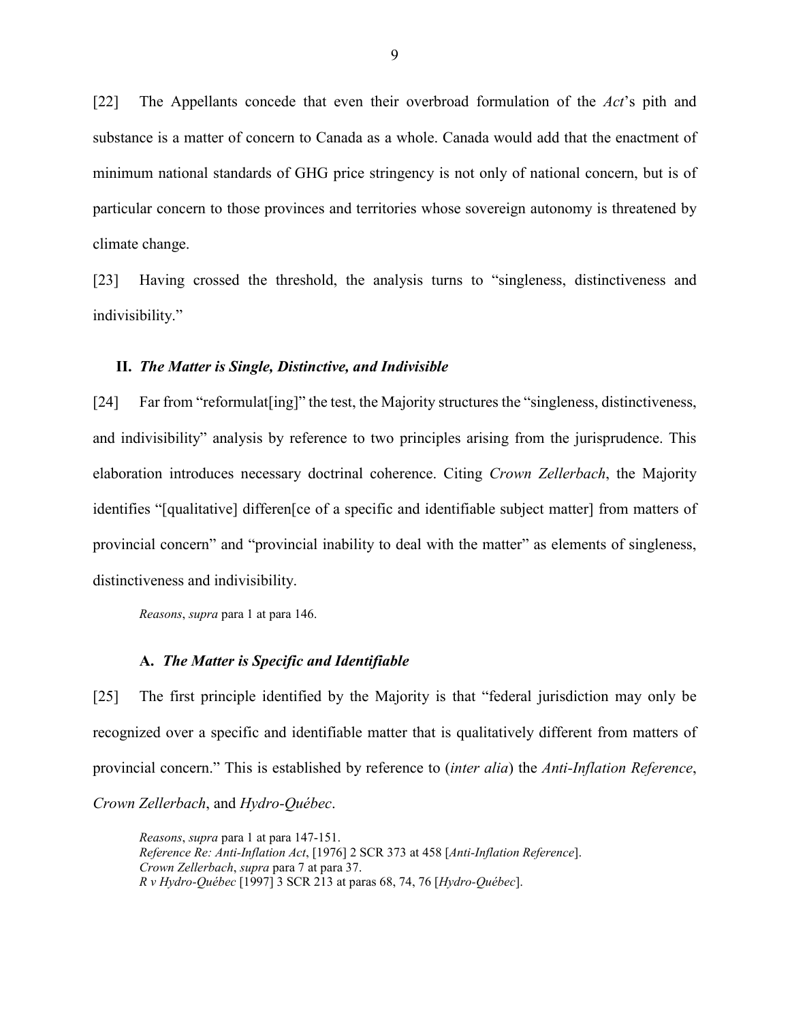[22] The Appellants concede that even their overbroad formulation of the *Act*'s pith and substance is a matter of concern to Canada as a whole. Canada would add that the enactment of minimum national standards of GHG price stringency is not only of national concern, but is of particular concern to those provinces and territories whose sovereign autonomy is threatened by climate change.

[23] Having crossed the threshold, the analysis turns to "singleness, distinctiveness and indivisibility."

#### <span id="page-12-0"></span>**II.** *The Matter is Single, Distinctive, and Indivisible*

[24] Far from "reformulat [ing]" the test, the Majority structures the "singleness, distinctiveness, and indivisibility" analysis by reference to two principles arising from the jurisprudence. This elaboration introduces necessary doctrinal coherence. Citing *Crown Zellerbach*, the Majority identifies "[qualitative] differen[ce of a specific and identifiable subject matter] from matters of provincial concern" and "provincial inability to deal with the matter" as elements of singleness, distinctiveness and indivisibility.

*Reasons*, *supra* para 1 at para 146.

#### <span id="page-12-1"></span>**A.** *The Matter is Specific and Identifiable*

[25] The first principle identified by the Majority is that "federal jurisdiction may only be recognized over a specific and identifiable matter that is qualitatively different from matters of provincial concern." This is established by reference to (*inter alia*) the *Anti-Inflation Reference*, *Crown Zellerbach*, and *Hydro-Québec*.

*Reasons*, *supra* para 1 at para 147-151. *Reference Re: Anti-Inflation Act*, [1976] 2 SCR 373 at 458 [*Anti-Inflation Reference*]. *Crown Zellerbach*, *supra* para 7 at para 37. *R v Hydro-Québec* [1997] 3 SCR 213 at paras 68, 74, 76 [*Hydro-Québec*].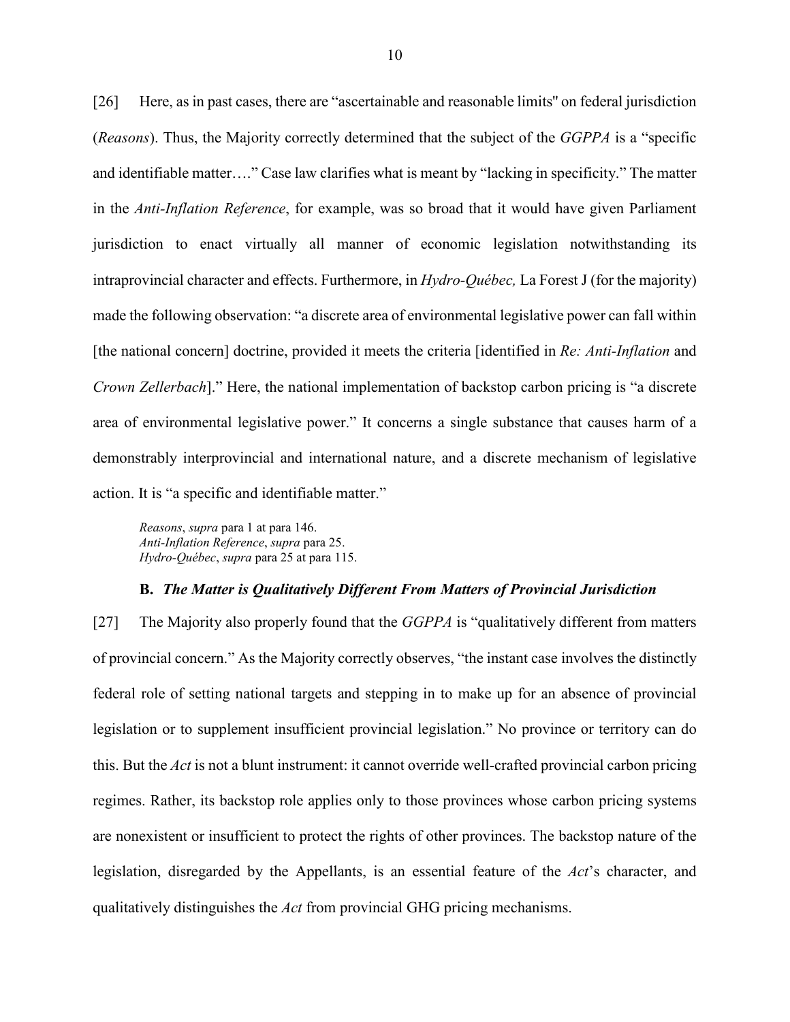[26] Here, as in past cases, there are "ascertainable and reasonable limits" on federal jurisdiction (*Reasons*). Thus, the Majority correctly determined that the subject of the *GGPPA* is a "specific and identifiable matter…." Case law clarifies what is meant by "lacking in specificity." The matter in the *Anti-Inflation Reference*, for example, was so broad that it would have given Parliament jurisdiction to enact virtually all manner of economic legislation notwithstanding its intraprovincial character and effects. Furthermore, in *Hydro-Québec,* La Forest J (for the majority) made the following observation: "a discrete area of environmental legislative power can fall within [the national concern] doctrine, provided it meets the criteria [identified in *Re: Anti-Inflation* and *Crown Zellerbach*]." Here, the national implementation of backstop carbon pricing is "a discrete area of environmental legislative power." It concerns a single substance that causes harm of a demonstrably interprovincial and international nature, and a discrete mechanism of legislative action. It is "a specific and identifiable matter."

*Reasons*, *supra* para 1 at para 146. *Anti-Inflation Reference*, *supra* para 25. *Hydro-Québec*, *supra* para 25 at para 115.

#### **B.** *The Matter is Qualitatively Different From Matters of Provincial Jurisdiction*

<span id="page-13-0"></span>[27] The Majority also properly found that the *GGPPA* is "qualitatively different from matters of provincial concern." As the Majority correctly observes, "the instant case involves the distinctly federal role of setting national targets and stepping in to make up for an absence of provincial legislation or to supplement insufficient provincial legislation." No province or territory can do this. But the *Act* is not a blunt instrument: it cannot override well-crafted provincial carbon pricing regimes. Rather, its backstop role applies only to those provinces whose carbon pricing systems are nonexistent or insufficient to protect the rights of other provinces. The backstop nature of the legislation, disregarded by the Appellants, is an essential feature of the *Act*'s character, and qualitatively distinguishes the *Act* from provincial GHG pricing mechanisms.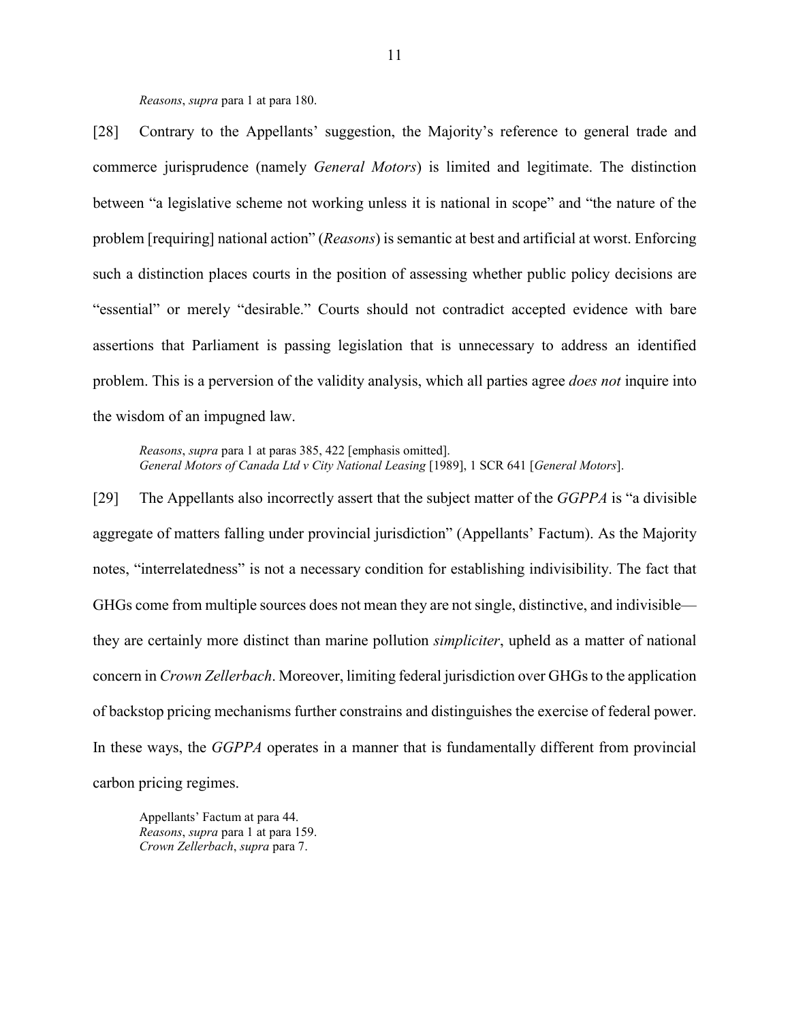*Reasons*, *supra* para 1 at para 180.

[28] Contrary to the Appellants' suggestion, the Majority's reference to general trade and commerce jurisprudence (namely *General Motors*) is limited and legitimate. The distinction between "a legislative scheme not working unless it is national in scope" and "the nature of the problem [requiring] national action" (*Reasons*) is semantic at best and artificial at worst. Enforcing such a distinction places courts in the position of assessing whether public policy decisions are "essential" or merely "desirable." Courts should not contradict accepted evidence with bare assertions that Parliament is passing legislation that is unnecessary to address an identified problem. This is a perversion of the validity analysis, which all parties agree *does not* inquire into the wisdom of an impugned law.

*Reasons*, *supra* para 1 at paras 385, 422 [emphasis omitted]. *General Motors of Canada Ltd v City National Leasing* [1989], 1 SCR 641 [*General Motors*].

[29] The Appellants also incorrectly assert that the subject matter of the *GGPPA* is "a divisible aggregate of matters falling under provincial jurisdiction" (Appellants' Factum). As the Majority notes, "interrelatedness" is not a necessary condition for establishing indivisibility. The fact that GHGs come from multiple sources does not mean they are not single, distinctive, and indivisible they are certainly more distinct than marine pollution *simpliciter*, upheld as a matter of national concern in *Crown Zellerbach*. Moreover, limiting federal jurisdiction over GHGs to the application of backstop pricing mechanisms further constrains and distinguishes the exercise of federal power. In these ways, the *GGPPA* operates in a manner that is fundamentally different from provincial carbon pricing regimes.

Appellants' Factum at para 44. *Reasons*, *supra* para 1 at para 159. *Crown Zellerbach*, *supra* para 7.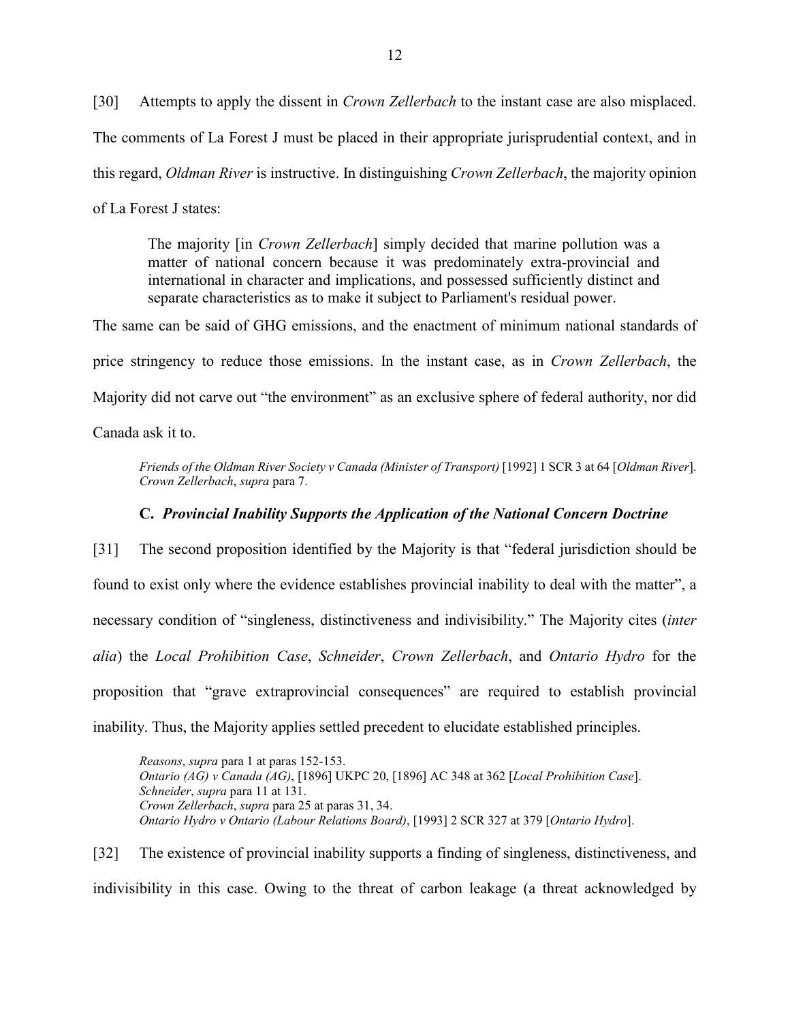[30] Attempts to apply the dissent in *Crown Zellerbach* to the instant case are also misplaced. The comments of La Forest J must be placed in their appropriate jurisprudential context, and in this regard, *Oldman River* is instructive. In distinguishing *Crown Zellerbach*, the majority opinion of La Forest J states:

The majority [in *Crown Zellerbach*] simply decided that marine pollution was a matter of national concern because it was predominately extra-provincial and international in character and implications, and possessed sufficiently distinct and separate characteristics as to make it subject to Parliament's residual power.

The same can be said of GHG emissions, and the enactment of minimum national standards of price stringency to reduce those emissions. In the instant case, as in *Crown Zellerbach*, the Majority did not carve out "the environment" as an exclusive sphere of federal authority, nor did Canada ask it to.

*Friends of the Oldman River Society v Canada (Minister of Transport)* [1992] 1 SCR 3 at 64 [*Oldman River*]. *Crown Zellerbach*, *supra* para 7.

#### **C.** *Provincial Inability Supports the Application of the National Concern Doctrine*

<span id="page-15-0"></span>[31] The second proposition identified by the Majority is that "federal jurisdiction should be found to exist only where the evidence establishes provincial inability to deal with the matter", a necessary condition of "singleness, distinctiveness and indivisibility." The Majority cites (*inter alia*) the *Local Prohibition Case*, *Schneider*, *Crown Zellerbach*, and *Ontario Hydro* for the proposition that "grave extraprovincial consequences" are required to establish provincial inability. Thus, the Majority applies settled precedent to elucidate established principles.

*Reasons*, *supra* para 1 at paras 152-153. *Ontario (AG) v Canada (AG)*, [1896] UKPC 20, [1896] AC 348 at 362 [*Local Prohibition Case*]. *Schneider*, *supra* para 11 at 131. *Crown Zellerbach*, *supra* para 25 at paras 31, 34. *Ontario Hydro v Ontario (Labour Relations Board)*, [1993] 2 SCR 327 at 379 [*Ontario Hydro*].

[32] The existence of provincial inability supports a finding of singleness, distinctiveness, and indivisibility in this case. Owing to the threat of carbon leakage (a threat acknowledged by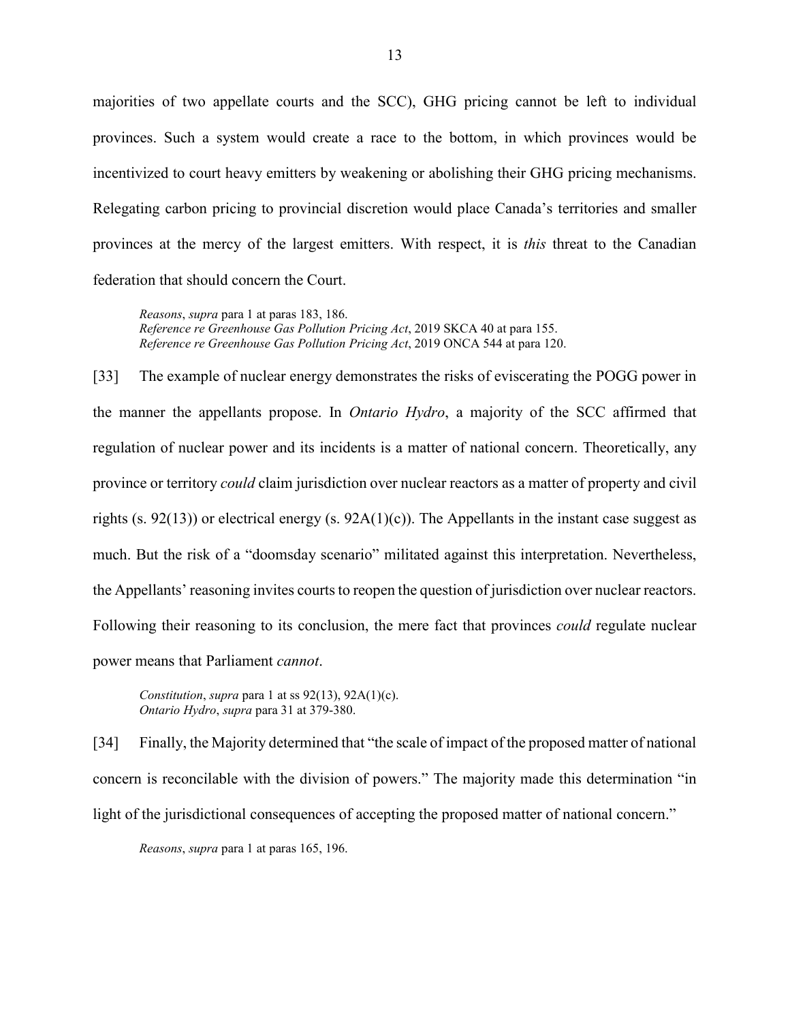majorities of two appellate courts and the SCC), GHG pricing cannot be left to individual provinces. Such a system would create a race to the bottom, in which provinces would be incentivized to court heavy emitters by weakening or abolishing their GHG pricing mechanisms. Relegating carbon pricing to provincial discretion would place Canada's territories and smaller provinces at the mercy of the largest emitters. With respect, it is *this* threat to the Canadian federation that should concern the Court.

*Reasons*, *supra* para 1 at paras 183, 186. *Reference re Greenhouse Gas Pollution Pricing Act*, 2019 SKCA 40 at para 155. *Reference re Greenhouse Gas Pollution Pricing Act*, 2019 ONCA 544 at para 120.

[33] The example of nuclear energy demonstrates the risks of eviscerating the POGG power in the manner the appellants propose. In *Ontario Hydro*, a majority of the SCC affirmed that regulation of nuclear power and its incidents is a matter of national concern. Theoretically, any province or territory *could* claim jurisdiction over nuclear reactors as a matter of property and civil rights (s. 92(13)) or electrical energy (s. 92A(1)(c)). The Appellants in the instant case suggest as much. But the risk of a "doomsday scenario" militated against this interpretation. Nevertheless, the Appellants' reasoning invites courts to reopen the question of jurisdiction over nuclear reactors. Following their reasoning to its conclusion, the mere fact that provinces *could* regulate nuclear power means that Parliament *cannot*.

*Constitution*, *supra* para 1 at ss 92(13), 92A(1)(c). *Ontario Hydro*, *supra* para 31 at 379-380.

[34] Finally, the Majority determined that "the scale of impact of the proposed matter of national concern is reconcilable with the division of powers." The majority made this determination "in light of the jurisdictional consequences of accepting the proposed matter of national concern."

*Reasons*, *supra* para 1 at paras 165, 196.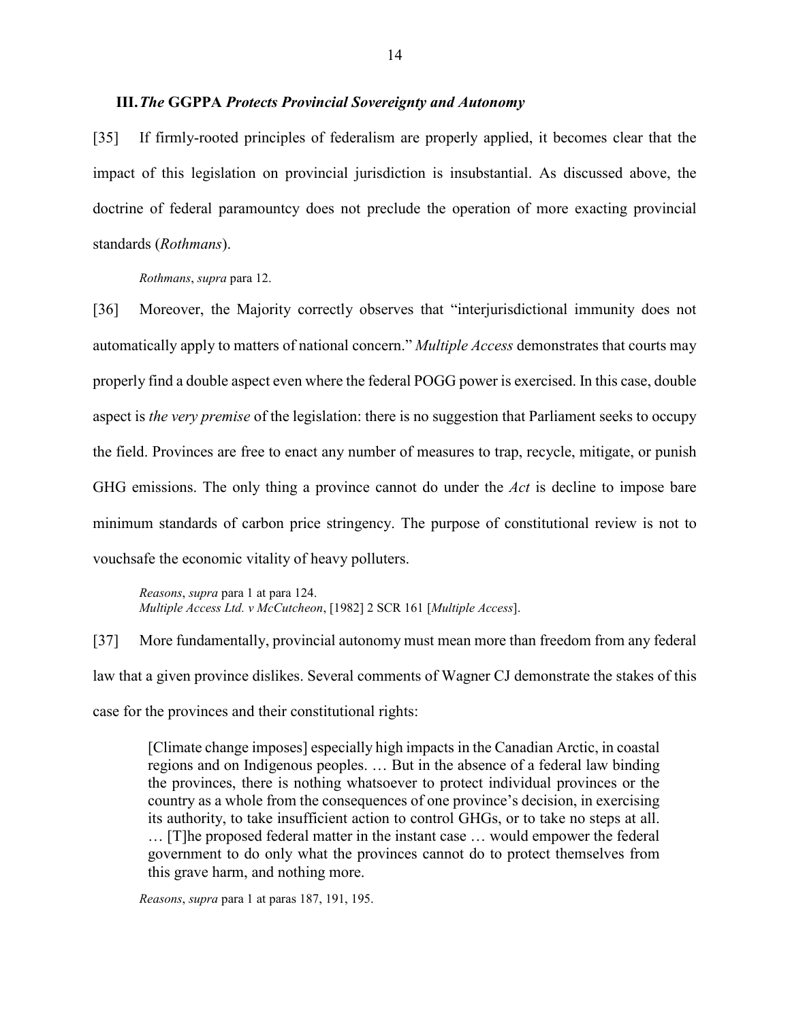#### <span id="page-17-0"></span>**III.***The* **GGPPA** *Protects Provincial Sovereignty and Autonomy*

[35] If firmly-rooted principles of federalism are properly applied, it becomes clear that the impact of this legislation on provincial jurisdiction is insubstantial. As discussed above, the doctrine of federal paramountcy does not preclude the operation of more exacting provincial standards (*Rothmans*).

*Rothmans*, *supra* para 12.

[36] Moreover, the Majority correctly observes that "interjurisdictional immunity does not automatically apply to matters of national concern." *Multiple Access* demonstrates that courts may properly find a double aspect even where the federal POGG power is exercised. In this case, double aspect is *the very premise* of the legislation: there is no suggestion that Parliament seeks to occupy the field. Provinces are free to enact any number of measures to trap, recycle, mitigate, or punish GHG emissions. The only thing a province cannot do under the *Act* is decline to impose bare minimum standards of carbon price stringency. The purpose of constitutional review is not to vouchsafe the economic vitality of heavy polluters.

*Reasons*, *supra* para 1 at para 124. *Multiple Access Ltd. v McCutcheon*, [1982] 2 SCR 161 [*Multiple Access*].

[37] More fundamentally, provincial autonomy must mean more than freedom from any federal law that a given province dislikes. Several comments of Wagner CJ demonstrate the stakes of this case for the provinces and their constitutional rights:

[Climate change imposes] especially high impacts in the Canadian Arctic, in coastal regions and on Indigenous peoples. … But in the absence of a federal law binding the provinces, there is nothing whatsoever to protect individual provinces or the country as a whole from the consequences of one province's decision, in exercising its authority, to take insufficient action to control GHGs, or to take no steps at all. … [T]he proposed federal matter in the instant case … would empower the federal government to do only what the provinces cannot do to protect themselves from this grave harm, and nothing more.

*Reasons*, *supra* para 1 at paras 187, 191, 195.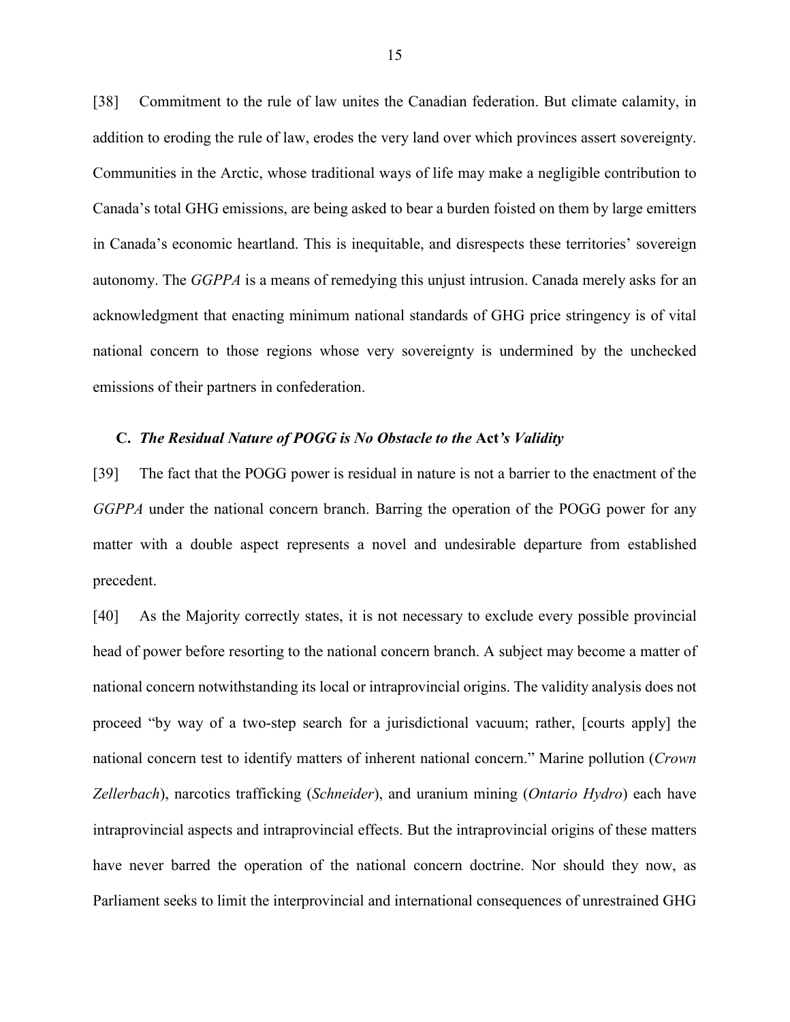[38] Commitment to the rule of law unites the Canadian federation. But climate calamity, in addition to eroding the rule of law, erodes the very land over which provinces assert sovereignty. Communities in the Arctic, whose traditional ways of life may make a negligible contribution to Canada's total GHG emissions, are being asked to bear a burden foisted on them by large emitters in Canada's economic heartland. This is inequitable, and disrespects these territories' sovereign autonomy. The *GGPPA* is a means of remedying this unjust intrusion. Canada merely asks for an acknowledgment that enacting minimum national standards of GHG price stringency is of vital national concern to those regions whose very sovereignty is undermined by the unchecked emissions of their partners in confederation.

#### <span id="page-18-0"></span>**C.** *The Residual Nature of POGG is No Obstacle to the* **Act***'s Validity*

[39] The fact that the POGG power is residual in nature is not a barrier to the enactment of the *GGPPA* under the national concern branch. Barring the operation of the POGG power for any matter with a double aspect represents a novel and undesirable departure from established precedent.

[40] As the Majority correctly states, it is not necessary to exclude every possible provincial head of power before resorting to the national concern branch. A subject may become a matter of national concern notwithstanding its local or intraprovincial origins. The validity analysis does not proceed "by way of a two-step search for a jurisdictional vacuum; rather, [courts apply] the national concern test to identify matters of inherent national concern." Marine pollution (*Crown Zellerbach*), narcotics trafficking (*Schneider*), and uranium mining (*Ontario Hydro*) each have intraprovincial aspects and intraprovincial effects. But the intraprovincial origins of these matters have never barred the operation of the national concern doctrine. Nor should they now, as Parliament seeks to limit the interprovincial and international consequences of unrestrained GHG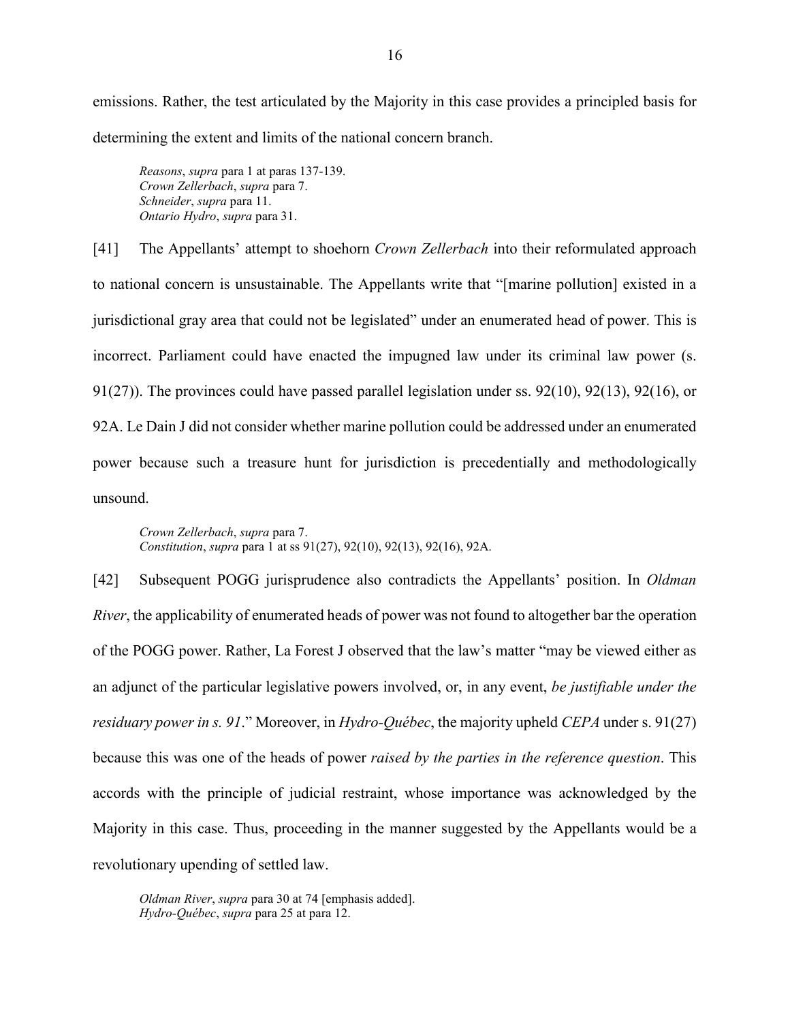emissions. Rather, the test articulated by the Majority in this case provides a principled basis for determining the extent and limits of the national concern branch.

*Reasons*, *supra* para 1 at paras 137-139. *Crown Zellerbach*, *supra* para 7. *Schneider*, *supra* para 11. *Ontario Hydro*, *supra* para 31.

[41] The Appellants' attempt to shoehorn *Crown Zellerbach* into their reformulated approach to national concern is unsustainable. The Appellants write that "[marine pollution] existed in a jurisdictional gray area that could not be legislated" under an enumerated head of power. This is incorrect. Parliament could have enacted the impugned law under its criminal law power (s. 91(27)). The provinces could have passed parallel legislation under ss.  $92(10)$ ,  $92(13)$ ,  $92(16)$ , or 92A. Le Dain J did not consider whether marine pollution could be addressed under an enumerated power because such a treasure hunt for jurisdiction is precedentially and methodologically unsound.

*Crown Zellerbach*, *supra* para 7. *Constitution*, *supra* para 1 at ss 91(27), 92(10), 92(13), 92(16), 92A.

[42] Subsequent POGG jurisprudence also contradicts the Appellants' position. In *Oldman River*, the applicability of enumerated heads of power was not found to altogether bar the operation of the POGG power. Rather, La Forest J observed that the law's matter "may be viewed either as an adjunct of the particular legislative powers involved, or, in any event, *be justifiable under the residuary power in s. 91*." Moreover, in *Hydro-Québec*, the majority upheld *CEPA* under s. 91(27) because this was one of the heads of power *raised by the parties in the reference question*. This accords with the principle of judicial restraint, whose importance was acknowledged by the Majority in this case. Thus, proceeding in the manner suggested by the Appellants would be a revolutionary upending of settled law.

*Oldman River*, *supra* para 30 at 74 [emphasis added]. *Hydro-Québec*, *supra* para 25 at para 12.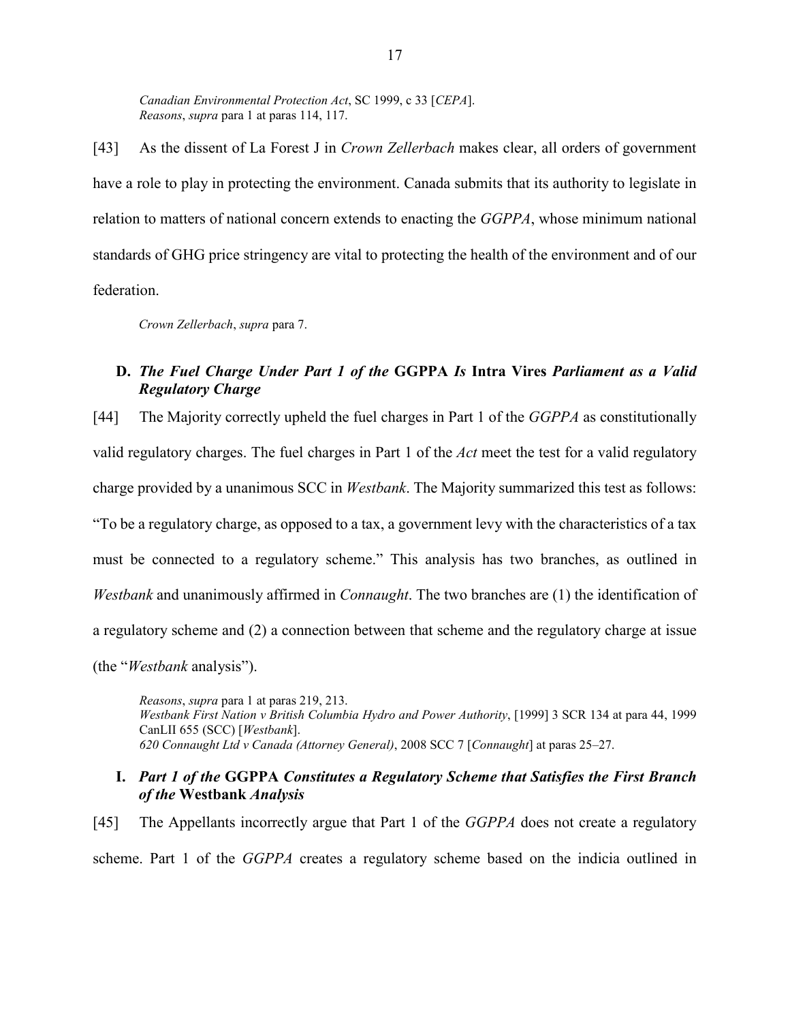*Canadian Environmental Protection Act*, SC 1999, c 33 [*CEPA*]. *Reasons*, *supra* para 1 at paras 114, 117.

[43] As the dissent of La Forest J in *Crown Zellerbach* makes clear, all orders of government have a role to play in protecting the environment. Canada submits that its authority to legislate in relation to matters of national concern extends to enacting the *GGPPA*, whose minimum national standards of GHG price stringency are vital to protecting the health of the environment and of our federation.

*Crown Zellerbach*, *supra* para 7.

# <span id="page-20-0"></span>**D.** *The Fuel Charge Under Part 1 of the* **GGPPA** *Is* **Intra Vires** *Parliament as a Valid Regulatory Charge*

[44] The Majority correctly upheld the fuel charges in Part 1 of the *GGPPA* as constitutionally valid regulatory charges. The fuel charges in Part 1 of the *Act* meet the test for a valid regulatory charge provided by a unanimous SCC in *Westbank*. The Majority summarized this test as follows: "To be a regulatory charge, as opposed to a tax, a government levy with the characteristics of a tax must be connected to a regulatory scheme." This analysis has two branches, as outlined in *Westbank* and unanimously affirmed in *Connaught*. The two branches are (1) the identification of a regulatory scheme and (2) a connection between that scheme and the regulatory charge at issue (the "*Westbank* analysis").

*Reasons*, *supra* para 1 at paras 219, 213. *Westbank First Nation v British Columbia Hydro and Power Authority*, [1999] 3 SCR 134 at para 44, 1999 CanLII 655 (SCC) [*Westbank*]. *620 Connaught Ltd v Canada (Attorney General)*, 2008 SCC 7 [*Connaught*] at paras 25–27.

## <span id="page-20-1"></span>**I.** *Part 1 of the* **GGPPA** *Constitutes a Regulatory Scheme that Satisfies the First Branch of the* **Westbank** *Analysis*

[45] The Appellants incorrectly argue that Part 1 of the *GGPPA* does not create a regulatory scheme. Part 1 of the *GGPPA* creates a regulatory scheme based on the indicia outlined in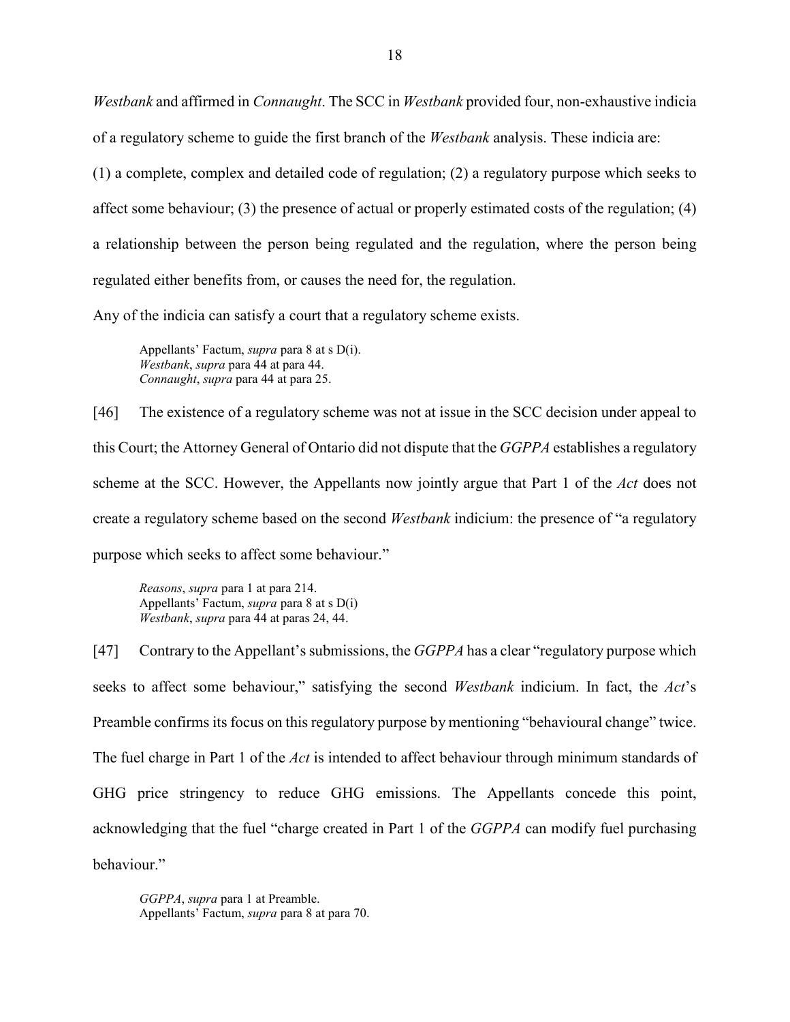*Westbank* and affirmed in *Connaught*. The SCC in *Westbank* provided four, non-exhaustive indicia of a regulatory scheme to guide the first branch of the *Westbank* analysis. These indicia are: (1) a complete, complex and detailed code of regulation; (2) a regulatory purpose which seeks to affect some behaviour; (3) the presence of actual or properly estimated costs of the regulation; (4) a relationship between the person being regulated and the regulation, where the person being regulated either benefits from, or causes the need for, the regulation.

Any of the indicia can satisfy a court that a regulatory scheme exists.

Appellants' Factum, *supra* para 8 at s D(i). *Westbank*, *supra* para 44 at para 44. *Connaught*, *supra* para 44 at para 25.

[46] The existence of a regulatory scheme was not at issue in the SCC decision under appeal to this Court; the Attorney General of Ontario did not dispute that the *GGPPA* establishes a regulatory scheme at the SCC. However, the Appellants now jointly argue that Part 1 of the *Act* does not create a regulatory scheme based on the second *Westbank* indicium: the presence of "a regulatory purpose which seeks to affect some behaviour."

*Reasons*, *supra* para 1 at para 214. Appellants' Factum, *supra* para 8 at s D(i) *Westbank*, *supra* para 44 at paras 24, 44.

[47] Contrary to the Appellant's submissions, the *GGPPA* has a clear "regulatory purpose which seeks to affect some behaviour," satisfying the second *Westbank* indicium. In fact, the *Act*'s Preamble confirms its focus on this regulatory purpose by mentioning "behavioural change" twice. The fuel charge in Part 1 of the *Act* is intended to affect behaviour through minimum standards of GHG price stringency to reduce GHG emissions. The Appellants concede this point, acknowledging that the fuel "charge created in Part 1 of the *GGPPA* can modify fuel purchasing behaviour."

*GGPPA*, *supra* para 1 at Preamble. Appellants' Factum, *supra* para 8 at para 70.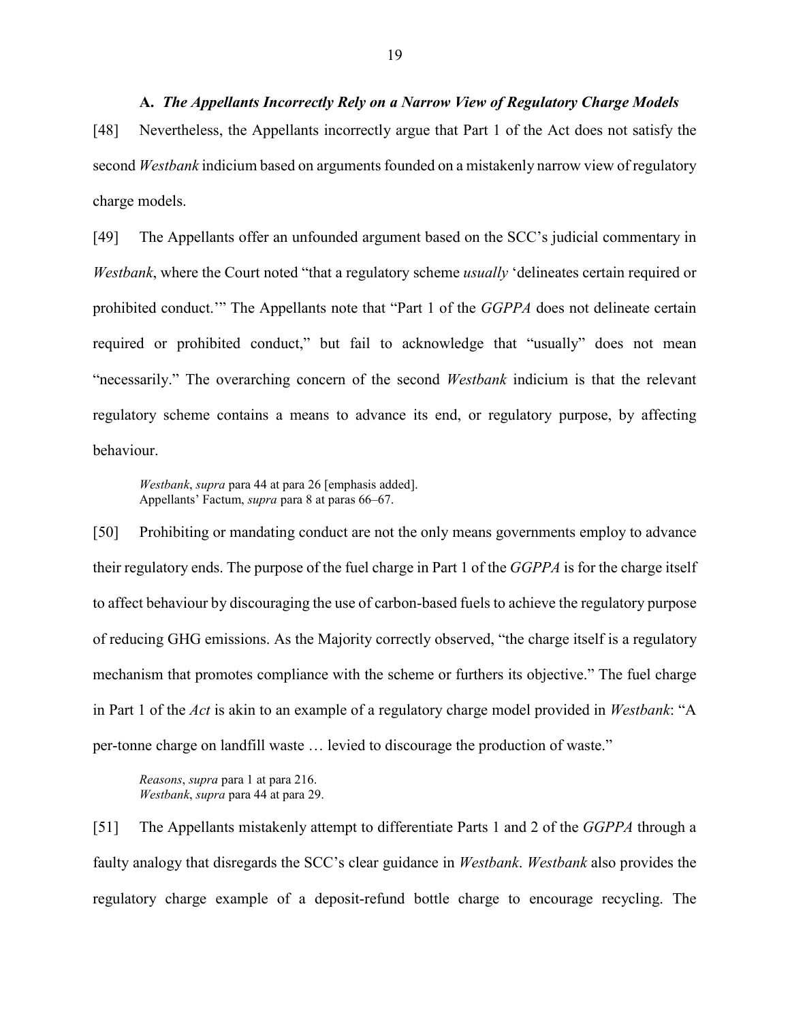<span id="page-22-0"></span>**A.** *The Appellants Incorrectly Rely on a Narrow View of Regulatory Charge Models*  [48] Nevertheless, the Appellants incorrectly argue that Part 1 of the Act does not satisfy the second *Westbank* indicium based on arguments founded on a mistakenly narrow view of regulatory charge models.

[49] The Appellants offer an unfounded argument based on the SCC's judicial commentary in *Westbank*, where the Court noted "that a regulatory scheme *usually* 'delineates certain required or prohibited conduct.'" The Appellants note that "Part 1 of the *GGPPA* does not delineate certain required or prohibited conduct," but fail to acknowledge that "usually" does not mean "necessarily." The overarching concern of the second *Westbank* indicium is that the relevant regulatory scheme contains a means to advance its end, or regulatory purpose, by affecting behaviour.

*Westbank*, *supra* para 44 at para 26 [emphasis added]. Appellants' Factum, *supra* para 8 at paras 66–67.

[50] Prohibiting or mandating conduct are not the only means governments employ to advance their regulatory ends. The purpose of the fuel charge in Part 1 of the *GGPPA* is for the charge itself to affect behaviour by discouraging the use of carbon-based fuels to achieve the regulatory purpose of reducing GHG emissions. As the Majority correctly observed, "the charge itself is a regulatory mechanism that promotes compliance with the scheme or furthers its objective." The fuel charge in Part 1 of the *Act* is akin to an example of a regulatory charge model provided in *Westbank*: "A per-tonne charge on landfill waste … levied to discourage the production of waste."

*Reasons*, *supra* para 1 at para 216. *Westbank*, *supra* para 44 at para 29.

[51] The Appellants mistakenly attempt to differentiate Parts 1 and 2 of the *GGPPA* through a faulty analogy that disregards the SCC's clear guidance in *Westbank*. *Westbank* also provides the regulatory charge example of a deposit-refund bottle charge to encourage recycling. The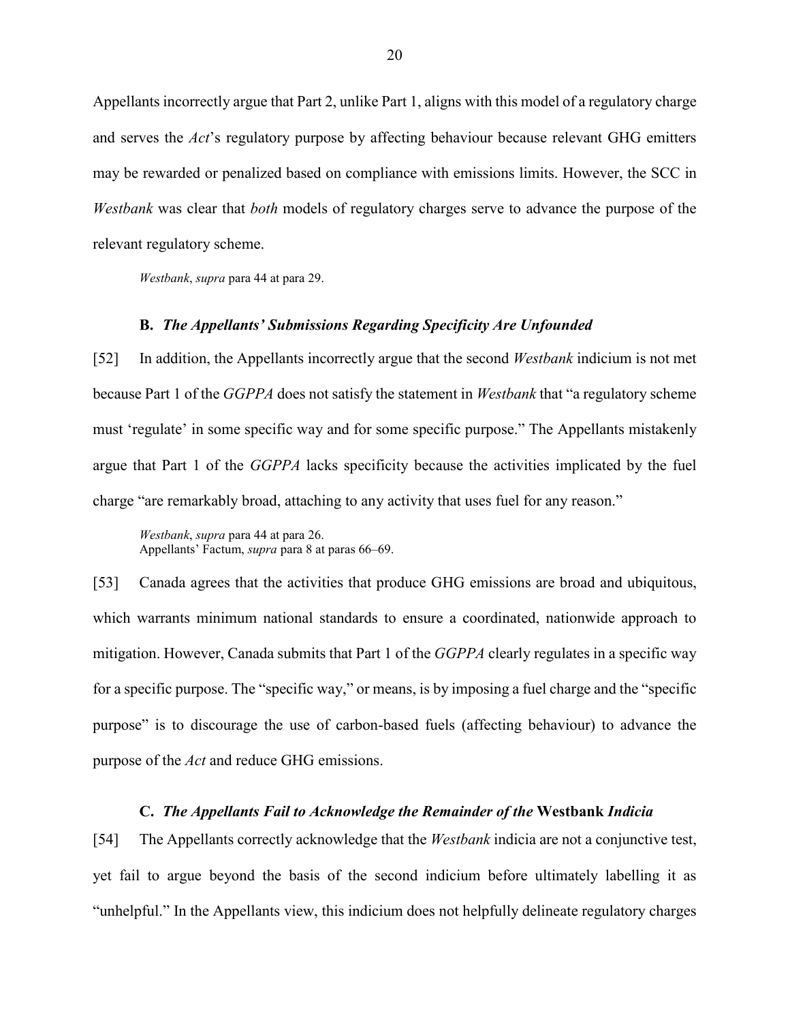Appellants incorrectly argue that Part 2, unlike Part 1, aligns with this model of a regulatory charge and serves the *Act*'s regulatory purpose by affecting behaviour because relevant GHG emitters may be rewarded or penalized based on compliance with emissions limits. However, the SCC in *Westbank* was clear that *both* models of regulatory charges serve to advance the purpose of the relevant regulatory scheme.

*Westbank*, *supra* para 44 at para 29.

#### **B.** *The Appellants' Submissions Regarding Specificity Are Unfounded*

<span id="page-23-0"></span>[52] In addition, the Appellants incorrectly argue that the second *Westbank* indicium is not met because Part 1 of the *GGPPA* does not satisfy the statement in *Westbank* that "a regulatory scheme must 'regulate' in some specific way and for some specific purpose." The Appellants mistakenly argue that Part 1 of the *GGPPA* lacks specificity because the activities implicated by the fuel charge "are remarkably broad, attaching to any activity that uses fuel for any reason."

*Westbank*, *supra* para 44 at para 26. Appellants' Factum, *supra* para 8 at paras 66–69.

[53] Canada agrees that the activities that produce GHG emissions are broad and ubiquitous, which warrants minimum national standards to ensure a coordinated, nationwide approach to mitigation. However, Canada submits that Part 1 of the *GGPPA* clearly regulates in a specific way for a specific purpose. The "specific way," or means, is by imposing a fuel charge and the "specific purpose" is to discourage the use of carbon-based fuels (affecting behaviour) to advance the purpose of the *Act* and reduce GHG emissions.

#### **C.** *The Appellants Fail to Acknowledge the Remainder of the* **Westbank** *Indicia*

<span id="page-23-1"></span>[54] The Appellants correctly acknowledge that the *Westbank* indicia are not a conjunctive test, yet fail to argue beyond the basis of the second indicium before ultimately labelling it as "unhelpful." In the Appellants view, this indicium does not helpfully delineate regulatory charges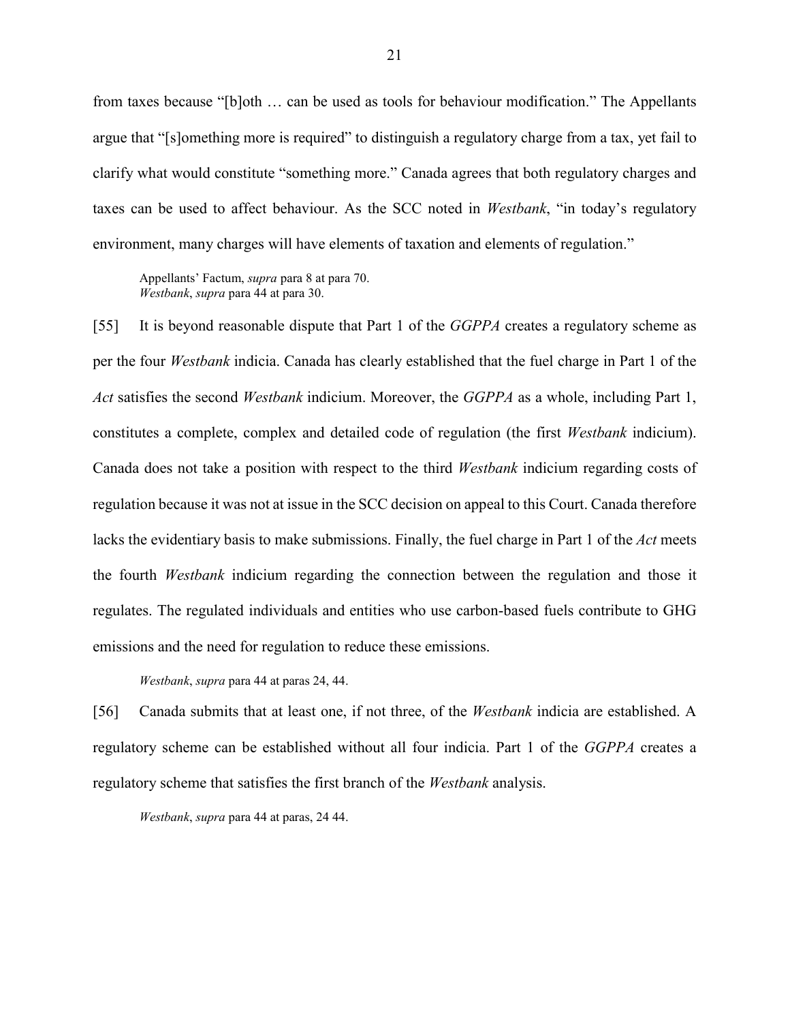from taxes because "[b]oth … can be used as tools for behaviour modification." The Appellants argue that "[s]omething more is required" to distinguish a regulatory charge from a tax, yet fail to clarify what would constitute "something more." Canada agrees that both regulatory charges and taxes can be used to affect behaviour. As the SCC noted in *Westbank*, "in today's regulatory environment, many charges will have elements of taxation and elements of regulation."

Appellants' Factum, *supra* para 8 at para 70. *Westbank*, *supra* para 44 at para 30.

[55] It is beyond reasonable dispute that Part 1 of the *GGPPA* creates a regulatory scheme as per the four *Westbank* indicia. Canada has clearly established that the fuel charge in Part 1 of the *Act* satisfies the second *Westbank* indicium. Moreover, the *GGPPA* as a whole, including Part 1, constitutes a complete, complex and detailed code of regulation (the first *Westbank* indicium). Canada does not take a position with respect to the third *Westbank* indicium regarding costs of regulation because it was not at issue in the SCC decision on appeal to this Court. Canada therefore lacks the evidentiary basis to make submissions. Finally, the fuel charge in Part 1 of the *Act* meets the fourth *Westbank* indicium regarding the connection between the regulation and those it regulates. The regulated individuals and entities who use carbon-based fuels contribute to GHG emissions and the need for regulation to reduce these emissions.

#### *Westbank*, *supra* para 44 at paras 24, 44.

[56] Canada submits that at least one, if not three, of the *Westbank* indicia are established. A regulatory scheme can be established without all four indicia. Part 1 of the *GGPPA* creates a regulatory scheme that satisfies the first branch of the *Westbank* analysis.

*Westbank*, *supra* para 44 at paras, 24 44.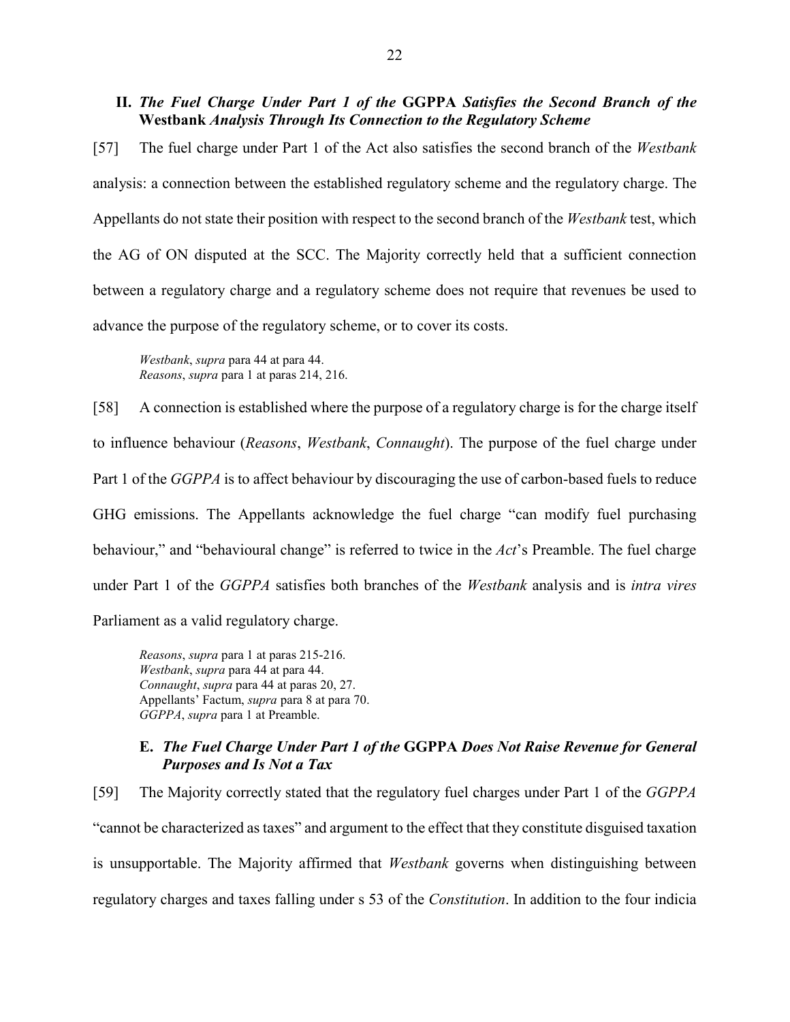#### <span id="page-25-0"></span>**II.** *The Fuel Charge Under Part 1 of the* **GGPPA** *Satisfies the Second Branch of the*  **Westbank** *Analysis Through Its Connection to the Regulatory Scheme*

[57] The fuel charge under Part 1 of the Act also satisfies the second branch of the *Westbank* analysis: a connection between the established regulatory scheme and the regulatory charge. The Appellants do not state their position with respect to the second branch of the *Westbank* test, which the AG of ON disputed at the SCC. The Majority correctly held that a sufficient connection between a regulatory charge and a regulatory scheme does not require that revenues be used to advance the purpose of the regulatory scheme, or to cover its costs.

*Westbank*, *supra* para 44 at para 44. *Reasons*, *supra* para 1 at paras 214, 216.

[58] A connection is established where the purpose of a regulatory charge is for the charge itself to influence behaviour (*Reasons*, *Westbank*, *Connaught*). The purpose of the fuel charge under Part 1 of the *GGPPA* is to affect behaviour by discouraging the use of carbon-based fuels to reduce GHG emissions. The Appellants acknowledge the fuel charge "can modify fuel purchasing behaviour," and "behavioural change" is referred to twice in the *Act*'s Preamble. The fuel charge under Part 1 of the *GGPPA* satisfies both branches of the *Westbank* analysis and is *intra vires* Parliament as a valid regulatory charge.

*Reasons*, *supra* para 1 at paras 215-216. *Westbank*, *supra* para 44 at para 44. *Connaught*, *supra* para 44 at paras 20, 27. Appellants' Factum, *supra* para 8 at para 70. *GGPPA*, *supra* para 1 at Preamble.

#### <span id="page-25-1"></span>**E.** *The Fuel Charge Under Part 1 of the* **GGPPA** *Does Not Raise Revenue for General Purposes and Is Not a Tax*

[59] The Majority correctly stated that the regulatory fuel charges under Part 1 of the *GGPPA* "cannot be characterized as taxes" and argument to the effect that they constitute disguised taxation is unsupportable. The Majority affirmed that *Westbank* governs when distinguishing between regulatory charges and taxes falling under s 53 of the *Constitution*. In addition to the four indicia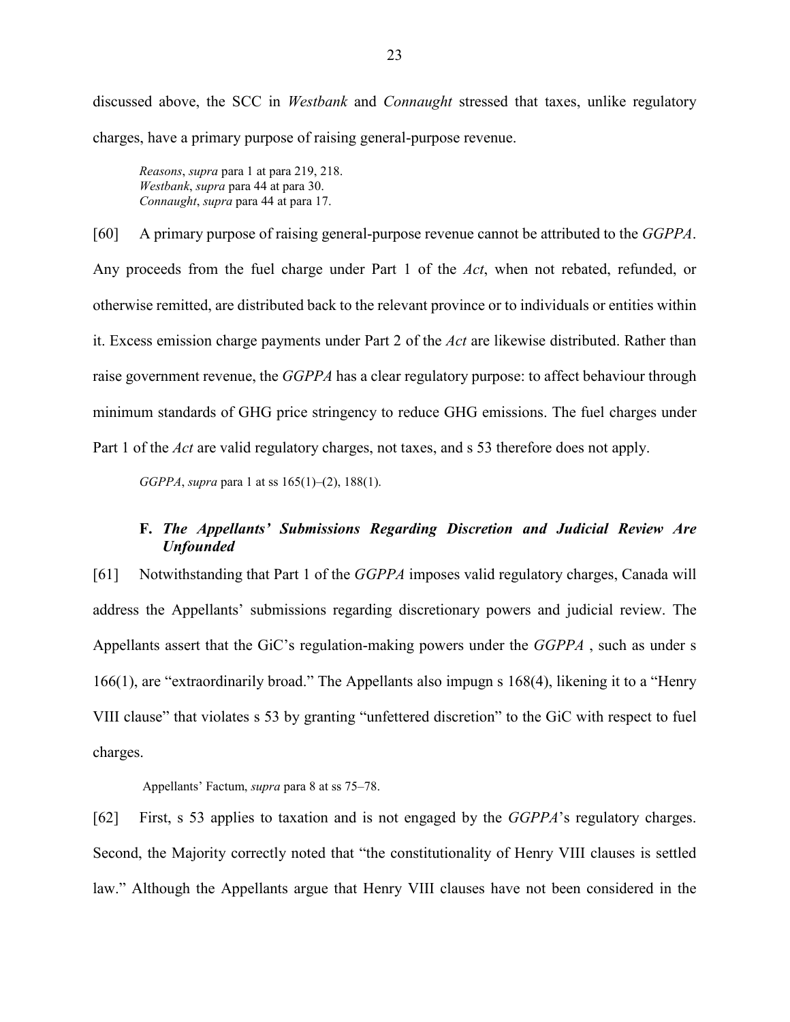discussed above, the SCC in *Westbank* and *Connaught* stressed that taxes, unlike regulatory charges, have a primary purpose of raising general-purpose revenue.

*Reasons*, *supra* para 1 at para 219, 218. *Westbank*, *supra* para 44 at para 30. *Connaught*, *supra* para 44 at para 17.

[60] A primary purpose of raising general-purpose revenue cannot be attributed to the *GGPPA*. Any proceeds from the fuel charge under Part 1 of the *Act*, when not rebated, refunded, or otherwise remitted, are distributed back to the relevant province or to individuals or entities within it. Excess emission charge payments under Part 2 of the *Act* are likewise distributed. Rather than raise government revenue, the *GGPPA* has a clear regulatory purpose: to affect behaviour through minimum standards of GHG price stringency to reduce GHG emissions. The fuel charges under Part 1 of the *Act* are valid regulatory charges, not taxes, and s 53 therefore does not apply.

*GGPPA*, *supra* para 1 at ss 165(1)–(2), 188(1).

# <span id="page-26-0"></span>**F.** *The Appellants' Submissions Regarding Discretion and Judicial Review Are Unfounded*

[61] Notwithstanding that Part 1 of the *GGPPA* imposes valid regulatory charges, Canada will address the Appellants' submissions regarding discretionary powers and judicial review. The Appellants assert that the GiC's regulation-making powers under the *GGPPA* , such as under s 166(1), are "extraordinarily broad." The Appellants also impugn s 168(4), likening it to a "Henry VIII clause" that violates s 53 by granting "unfettered discretion" to the GiC with respect to fuel charges.

Appellants' Factum, *supra* para 8 at ss 75–78.

[62] First, s 53 applies to taxation and is not engaged by the *GGPPA*'s regulatory charges. Second, the Majority correctly noted that "the constitutionality of Henry VIII clauses is settled law." Although the Appellants argue that Henry VIII clauses have not been considered in the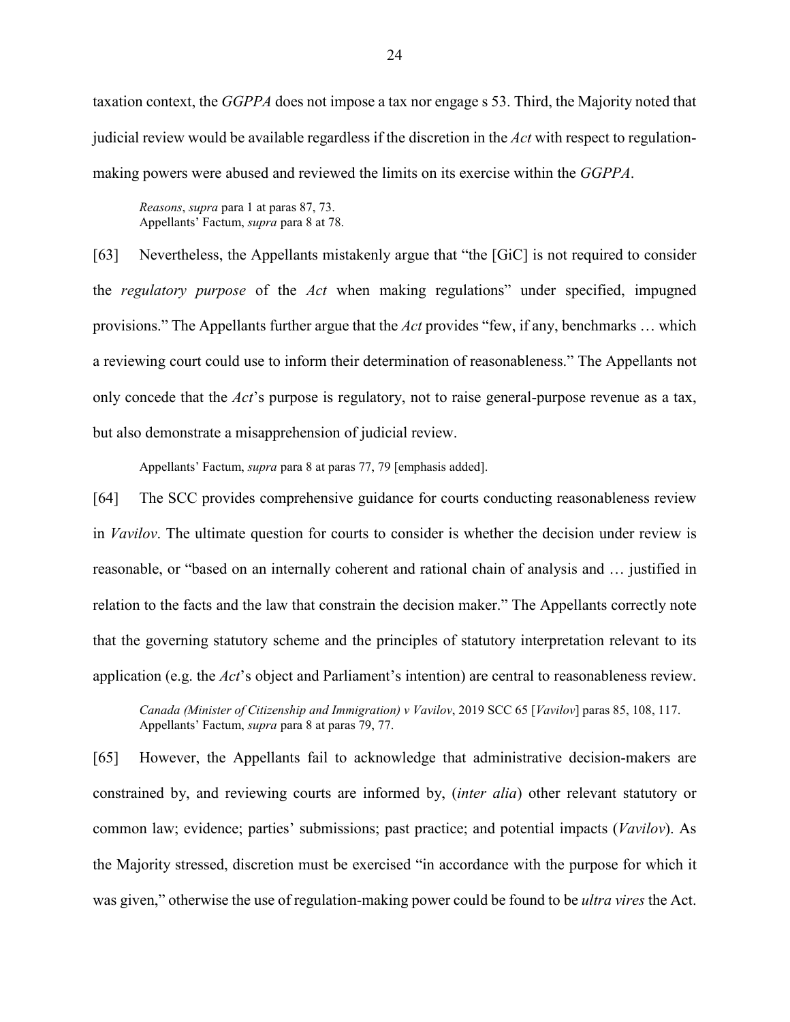taxation context, the *GGPPA* does not impose a tax nor engage s 53. Third, the Majority noted that judicial review would be available regardless if the discretion in the *Act* with respect to regulationmaking powers were abused and reviewed the limits on its exercise within the *GGPPA*.

*Reasons*, *supra* para 1 at paras 87, 73. Appellants' Factum, *supra* para 8 at 78.

[63] Nevertheless, the Appellants mistakenly argue that "the [GiC] is not required to consider the *regulatory purpose* of the *Act* when making regulations" under specified, impugned provisions." The Appellants further argue that the *Act* provides "few, if any, benchmarks … which a reviewing court could use to inform their determination of reasonableness." The Appellants not only concede that the *Act*'s purpose is regulatory, not to raise general-purpose revenue as a tax, but also demonstrate a misapprehension of judicial review.

Appellants' Factum, *supra* para 8 at paras 77, 79 [emphasis added].

[64] The SCC provides comprehensive guidance for courts conducting reasonableness review in *Vavilov*. The ultimate question for courts to consider is whether the decision under review is reasonable, or "based on an internally coherent and rational chain of analysis and … justified in relation to the facts and the law that constrain the decision maker." The Appellants correctly note that the governing statutory scheme and the principles of statutory interpretation relevant to its application (e.g. the *Act*'s object and Parliament's intention) are central to reasonableness review.

*Canada (Minister of Citizenship and Immigration) v Vavilov*, 2019 SCC 65 [*Vavilov*] paras 85, 108, 117. Appellants' Factum, *supra* para 8 at paras 79, 77.

[65] However, the Appellants fail to acknowledge that administrative decision-makers are constrained by, and reviewing courts are informed by, (*inter alia*) other relevant statutory or common law; evidence; parties' submissions; past practice; and potential impacts (*Vavilov*). As the Majority stressed, discretion must be exercised "in accordance with the purpose for which it was given," otherwise the use of regulation-making power could be found to be *ultra vires* the Act.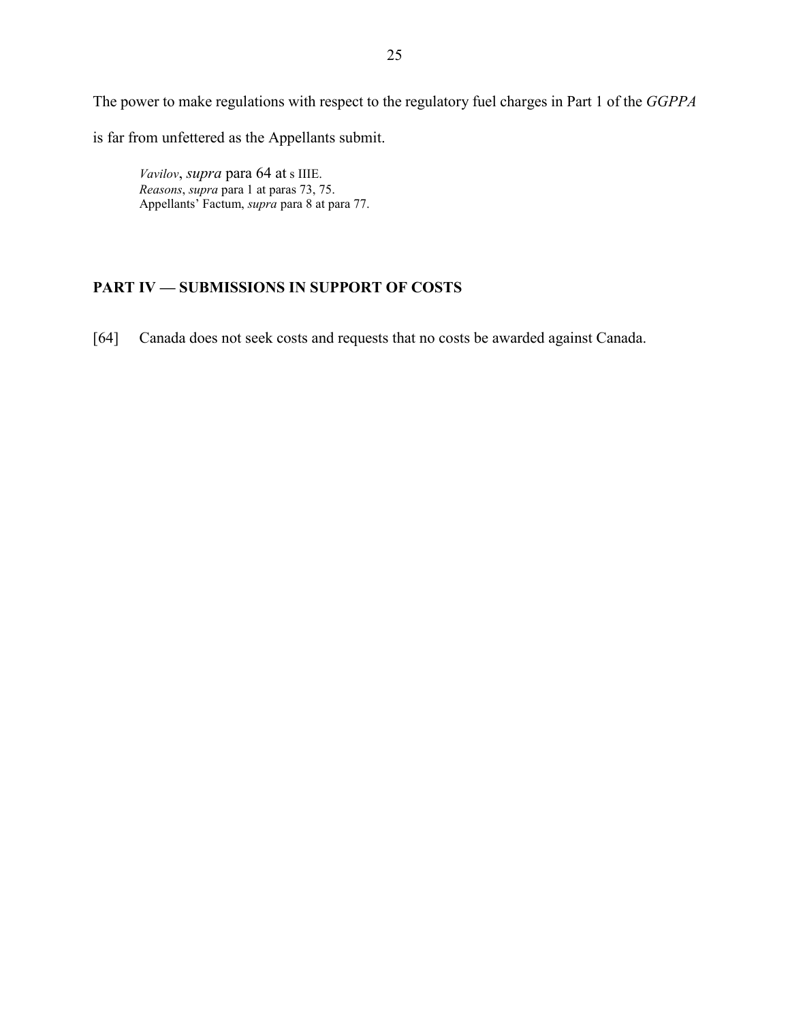The power to make regulations with respect to the regulatory fuel charges in Part 1 of the *GGPPA* is far from unfettered as the Appellants submit.

<span id="page-28-0"></span>*Vavilov*, *supra* para 64 at s IIIE. *Reasons*, *supra* para 1 at paras 73, 75. Appellants' Factum, *supra* para 8 at para 77.

# **PART IV — SUBMISSIONS IN SUPPORT OF COSTS**

<span id="page-28-1"></span>[64] Canada does not seek costs and requests that no costs be awarded against Canada.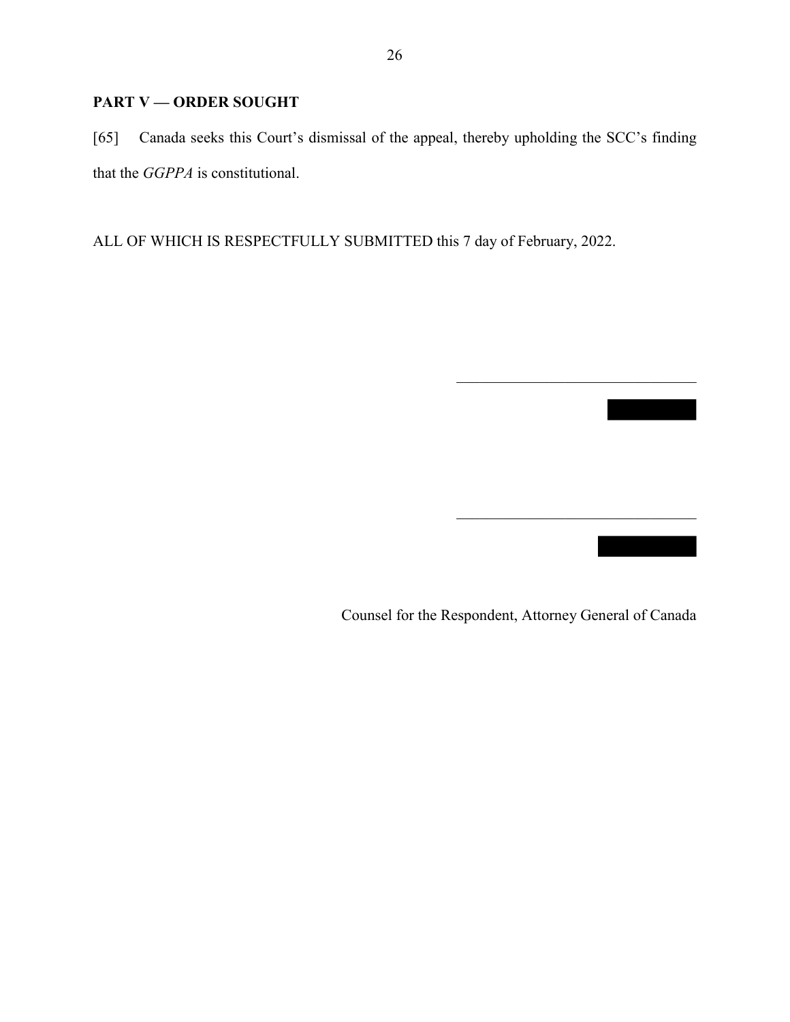# **PART V — ORDER SOUGHT**

[65] Canada seeks this Court's dismissal of the appeal, thereby upholding the SCC's finding that the *GGPPA* is constitutional.

ALL OF WHICH IS RESPECTFULLY SUBMITTED this 7 day of February, 2022.

Counsel for the Respondent, Attorney General of Canada

 $\mathcal{L}_\text{max}$  , where  $\mathcal{L}_\text{max}$  and  $\mathcal{L}_\text{max}$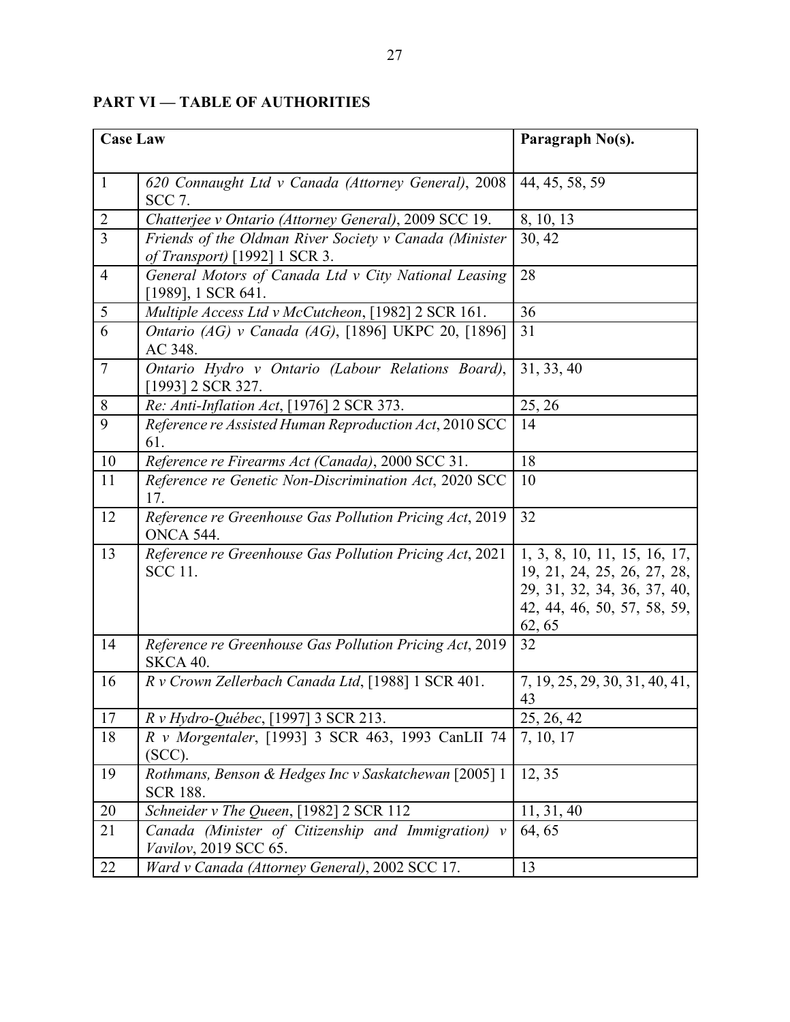| <b>Case Law</b> |                                                                                         | Paragraph No(s).                                                                                                                    |
|-----------------|-----------------------------------------------------------------------------------------|-------------------------------------------------------------------------------------------------------------------------------------|
|                 |                                                                                         |                                                                                                                                     |
| $\mathbf{1}$    | 620 Connaught Ltd v Canada (Attorney General), 2008<br><b>SCC 7.</b>                    | 44, 45, 58, 59                                                                                                                      |
| $\overline{2}$  | Chatterjee v Ontario (Attorney General), 2009 SCC 19.                                   | 8, 10, 13                                                                                                                           |
| $\overline{3}$  | Friends of the Oldman River Society v Canada (Minister<br>of Transport) [1992] 1 SCR 3. | 30, 42                                                                                                                              |
| $\overline{4}$  | General Motors of Canada Ltd v City National Leasing<br>[1989], 1 SCR 641.              | 28                                                                                                                                  |
| $\overline{5}$  | Multiple Access Ltd v McCutcheon, [1982] 2 SCR 161.                                     | 36                                                                                                                                  |
| $\overline{6}$  | Ontario (AG) v Canada (AG), [1896] UKPC 20, [1896]<br>AC 348.                           | 31                                                                                                                                  |
| $\tau$          | Ontario Hydro v Ontario (Labour Relations Board),<br>[1993] 2 SCR 327.                  | 31, 33, 40                                                                                                                          |
| $\, 8$          | Re: Anti-Inflation Act, [1976] 2 SCR 373.                                               | 25, 26                                                                                                                              |
| $\overline{9}$  | Reference re Assisted Human Reproduction Act, 2010 SCC<br>61.                           | 14                                                                                                                                  |
| 10              | Reference re Firearms Act (Canada), 2000 SCC 31.                                        | 18                                                                                                                                  |
| 11              | Reference re Genetic Non-Discrimination Act, 2020 SCC<br>17.                            | 10                                                                                                                                  |
| 12              | Reference re Greenhouse Gas Pollution Pricing Act, 2019<br><b>ONCA 544.</b>             | 32                                                                                                                                  |
| 13              | Reference re Greenhouse Gas Pollution Pricing Act, 2021<br><b>SCC 11.</b>               | 1, 3, 8, 10, 11, 15, 16, 17,<br>19, 21, 24, 25, 26, 27, 28,<br>29, 31, 32, 34, 36, 37, 40,<br>42, 44, 46, 50, 57, 58, 59,<br>62, 65 |
| 14              | Reference re Greenhouse Gas Pollution Pricing Act, 2019<br><b>SKCA 40.</b>              | 32                                                                                                                                  |
| 16              | R v Crown Zellerbach Canada Ltd, [1988] 1 SCR 401.                                      | 7, 19, 25, 29, 30, 31, 40, 41,<br>43                                                                                                |
| 17              | R v Hydro-Québec, [1997] 3 SCR 213.                                                     | 25, 26, 42                                                                                                                          |
| 18              | R v Morgentaler, [1993] 3 SCR 463, 1993 CanLII 74<br>$(SCC)$ .                          | 7, 10, 17                                                                                                                           |
| 19              | Rothmans, Benson & Hedges Inc v Saskatchewan [2005] 1<br><b>SCR 188.</b>                | 12, 35                                                                                                                              |
| 20              | Schneider v The Queen, [1982] 2 SCR 112                                                 | 11, 31, 40                                                                                                                          |
| 21              | Canada (Minister of Citizenship and Immigration) v<br>Vavilov, 2019 SCC 65.             | 64, 65                                                                                                                              |
| 22              | Ward v Canada (Attorney General), 2002 SCC 17.                                          | 13                                                                                                                                  |

# <span id="page-30-0"></span>**PART VI — TABLE OF AUTHORITIES**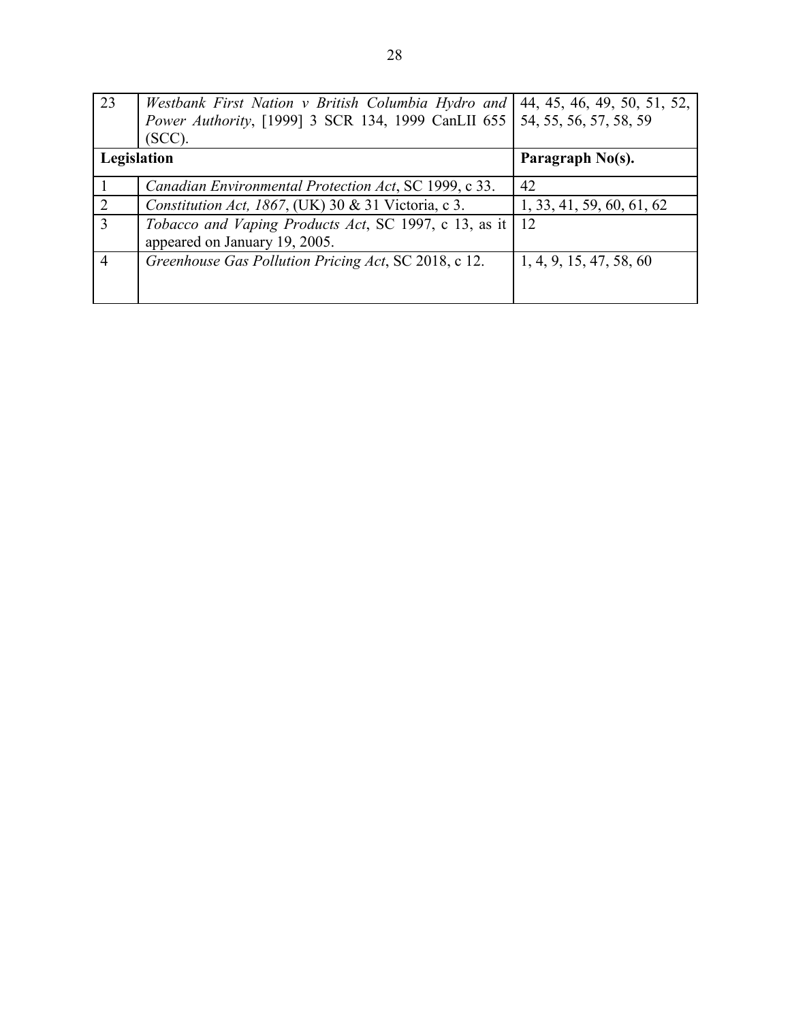<span id="page-31-0"></span>

| $\overline{2}3$ | Westbank First Nation v British Columbia Hydro and                                  | 44, 45, 46, 49, 50, 51, 52, |
|-----------------|-------------------------------------------------------------------------------------|-----------------------------|
|                 | <i>Power Authority</i> , [1999] 3 SCR 134, 1999 CanLII 655   54, 55, 56, 57, 58, 59 |                             |
|                 | $(SCC)$ .                                                                           |                             |
| Legislation     |                                                                                     | Paragraph No(s).            |
|                 | Canadian Environmental Protection Act, SC 1999, c 33.                               | 42                          |
| 2               | Constitution Act, 1867, (UK) 30 & 31 Victoria, c 3.                                 | 1, 33, 41, 59, 60, 61, 62   |
| $\overline{3}$  | Tobacco and Vaping Products Act, SC 1997, c 13, as it                               | 12                          |
|                 | appeared on January 19, 2005.                                                       |                             |
| $\overline{4}$  | Greenhouse Gas Pollution Pricing Act, SC 2018, c 12.                                | 1, 4, 9, 15, 47, 58, 60     |
|                 |                                                                                     |                             |
|                 |                                                                                     |                             |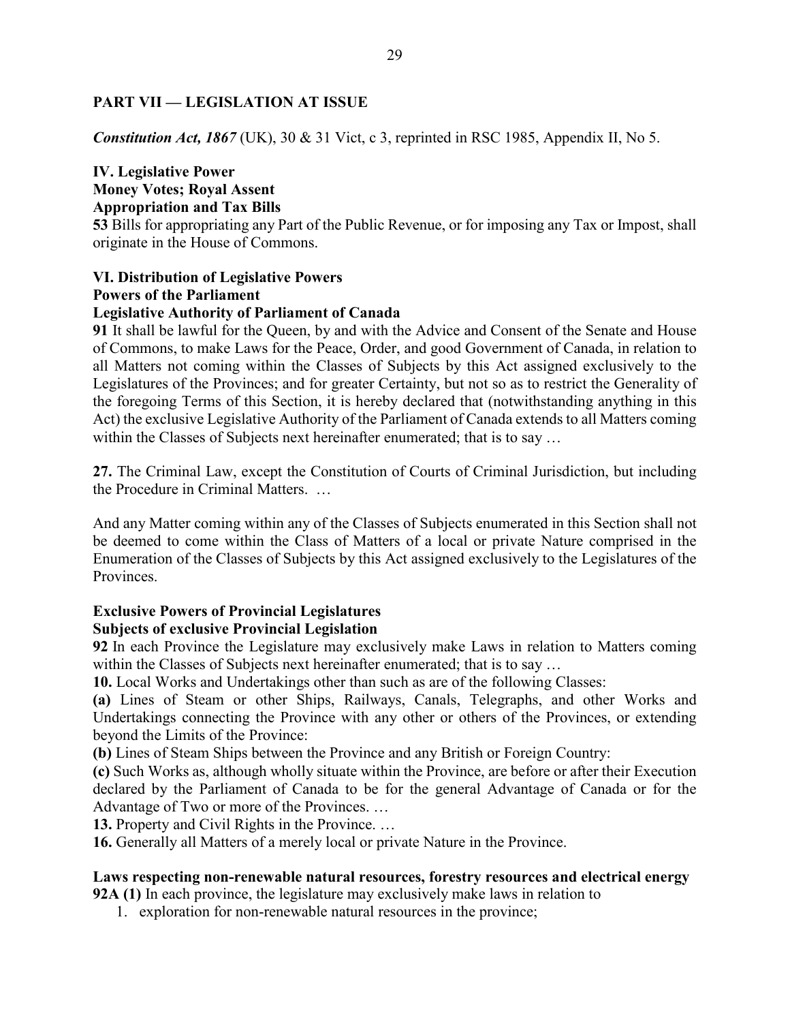# **PART VII — LEGISLATION AT ISSUE**

*Constitution Act, 1867* (UK), 30 & 31 Vict, c 3, reprinted in RSC 1985, Appendix II, No 5.

# **IV. Legislative Power Money Votes; Royal Assent Appropriation and Tax Bills**

**53** Bills for appropriating any Part of the Public Revenue, or for imposing any Tax or Impost, shall originate in the House of Commons.

## **VI. Distribution of Legislative Powers Powers of the Parliament Legislative Authority of Parliament of Canada**

**91** It shall be lawful for the Queen, by and with the Advice and Consent of the Senate and House of Commons, to make Laws for the Peace, Order, and good Government of Canada, in relation to all Matters not coming within the Classes of Subjects by this Act assigned exclusively to the Legislatures of the Provinces; and for greater Certainty, but not so as to restrict the Generality of the foregoing Terms of this Section, it is hereby declared that (notwithstanding anything in this Act) the exclusive Legislative Authority of the Parliament of Canada extends to all Matters coming within the Classes of Subjects next hereinafter enumerated; that is to say ...

**27.** The Criminal Law, except the Constitution of Courts of Criminal Jurisdiction, but including the Procedure in Criminal Matters. …

And any Matter coming within any of the Classes of Subjects enumerated in this Section shall not be deemed to come within the Class of Matters of a local or private Nature comprised in the Enumeration of the Classes of Subjects by this Act assigned exclusively to the Legislatures of the Provinces.

## **Exclusive Powers of Provincial Legislatures Subjects of exclusive Provincial Legislation**

**92** In each Province the Legislature may exclusively make Laws in relation to Matters coming within the Classes of Subjects next hereinafter enumerated; that is to say ...

**10.** Local Works and Undertakings other than such as are of the following Classes:

**(a)** Lines of Steam or other Ships, Railways, Canals, Telegraphs, and other Works and Undertakings connecting the Province with any other or others of the Provinces, or extending beyond the Limits of the Province:

**(b)** Lines of Steam Ships between the Province and any British or Foreign Country:

**(c)** Such Works as, although wholly situate within the Province, are before or after their Execution declared by the Parliament of Canada to be for the general Advantage of Canada or for the Advantage of Two or more of the Provinces. …

**13.** Property and Civil Rights in the Province. …

**16.** Generally all Matters of a merely local or private Nature in the Province.

# **Laws respecting non-renewable natural resources, forestry resources and electrical energy**

**92A (1)** In each province, the legislature may exclusively make laws in relation to

1. exploration for non-renewable natural resources in the province;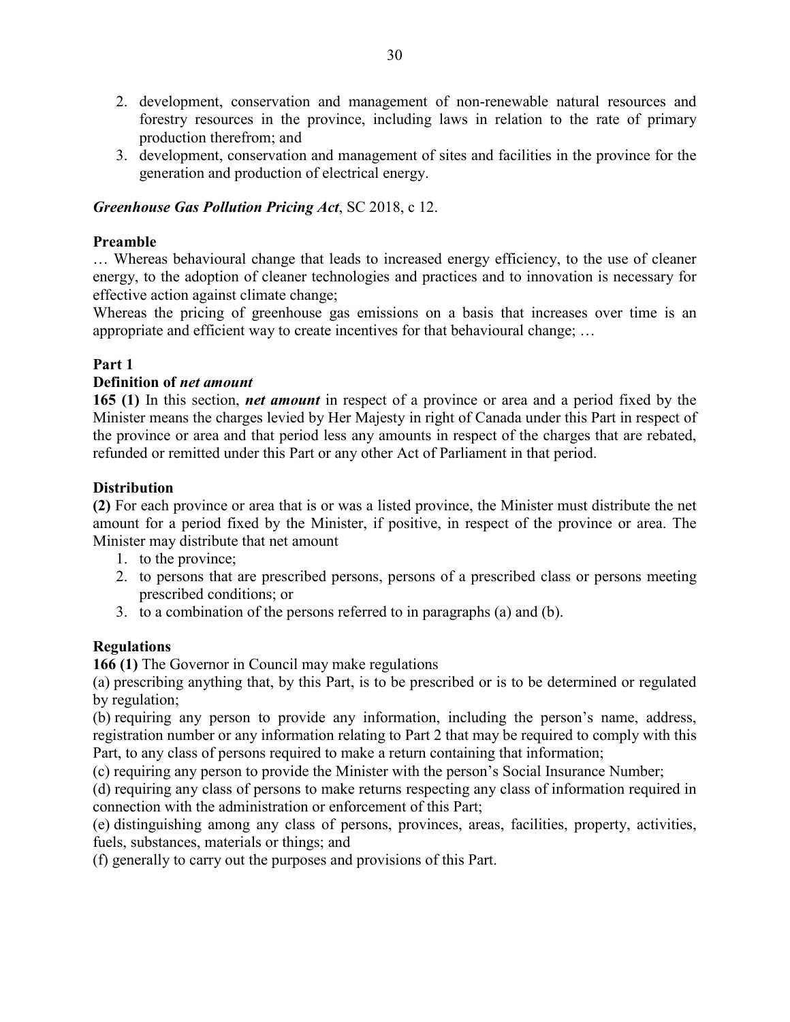- 2. development, conservation and management of non-renewable natural resources and forestry resources in the province, including laws in relation to the rate of primary production therefrom; and
- 3. development, conservation and management of sites and facilities in the province for the generation and production of electrical energy.

# *Greenhouse Gas Pollution Pricing Act*, SC 2018, c 12.

# **Preamble**

… Whereas behavioural change that leads to increased energy efficiency, to the use of cleaner energy, to the adoption of cleaner technologies and practices and to innovation is necessary for effective action against climate change;

Whereas the pricing of greenhouse gas emissions on a basis that increases over time is an appropriate and efficient way to create incentives for that behavioural change; …

# **Part 1**

# **Definition of** *net amount*

**165 (1)** In this section, *net amount* in respect of a province or area and a period fixed by the Minister means the charges levied by Her Majesty in right of Canada under this Part in respect of the province or area and that period less any amounts in respect of the charges that are rebated, refunded or remitted under this Part or any other Act of Parliament in that period.

# **Distribution**

**(2)** For each province or area that is or was a listed province, the Minister must distribute the net amount for a period fixed by the Minister, if positive, in respect of the province or area. The Minister may distribute that net amount

- 1. to the province;
- 2. to persons that are prescribed persons, persons of a prescribed class or persons meeting prescribed conditions; or
- 3. to a combination of the persons referred to in paragraphs (a) and (b).

# **Regulations**

**166 (1)** The Governor in Council may make regulations

(a) prescribing anything that, by this Part, is to be prescribed or is to be determined or regulated by regulation;

(b) requiring any person to provide any information, including the person's name, address, registration number or any information relating to Part 2 that may be required to comply with this Part, to any class of persons required to make a return containing that information;

(c) requiring any person to provide the Minister with the person's Social Insurance Number;

(d) requiring any class of persons to make returns respecting any class of information required in connection with the administration or enforcement of this Part;

(e) distinguishing among any class of persons, provinces, areas, facilities, property, activities, fuels, substances, materials or things; and

(f) generally to carry out the purposes and provisions of this Part.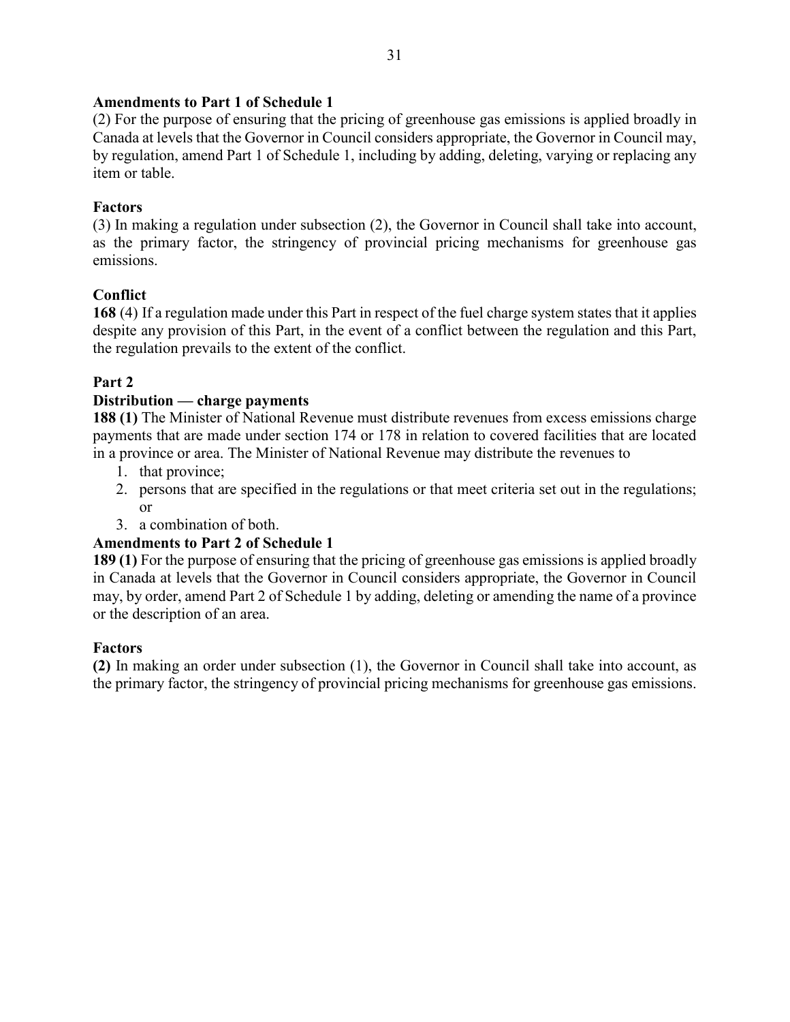# **Amendments to Part 1 of Schedule 1**

(2) For the purpose of ensuring that the pricing of greenhouse gas emissions is applied broadly in Canada at levels that the Governor in Council considers appropriate, the Governor in Council may, by regulation, amend Part 1 of Schedule 1, including by adding, deleting, varying or replacing any item or table.

# **Factors**

(3) In making a regulation under subsection (2), the Governor in Council shall take into account, as the primary factor, the stringency of provincial pricing mechanisms for greenhouse gas emissions.

# **Conflict**

**168** (4) If a regulation made under this Part in respect of the fuel charge system states that it applies despite any provision of this Part, in the event of a conflict between the regulation and this Part, the regulation prevails to the extent of the conflict.

# **Part 2**

# **Distribution — charge payments**

**188 (1)** The Minister of National Revenue must distribute revenues from excess emissions charge payments that are made under section 174 or 178 in relation to covered facilities that are located in a province or area. The Minister of National Revenue may distribute the revenues to

- 1. that province;
- 2. persons that are specified in the regulations or that meet criteria set out in the regulations; or
- 3. a combination of both.

# **Amendments to Part 2 of Schedule 1**

**189 (1)** For the purpose of ensuring that the pricing of greenhouse gas emissions is applied broadly in Canada at levels that the Governor in Council considers appropriate, the Governor in Council may, by order, amend Part 2 of Schedule 1 by adding, deleting or amending the name of a province or the description of an area.

# **Factors**

**(2)** In making an order under subsection (1), the Governor in Council shall take into account, as the primary factor, the stringency of provincial pricing mechanisms for greenhouse gas emissions.